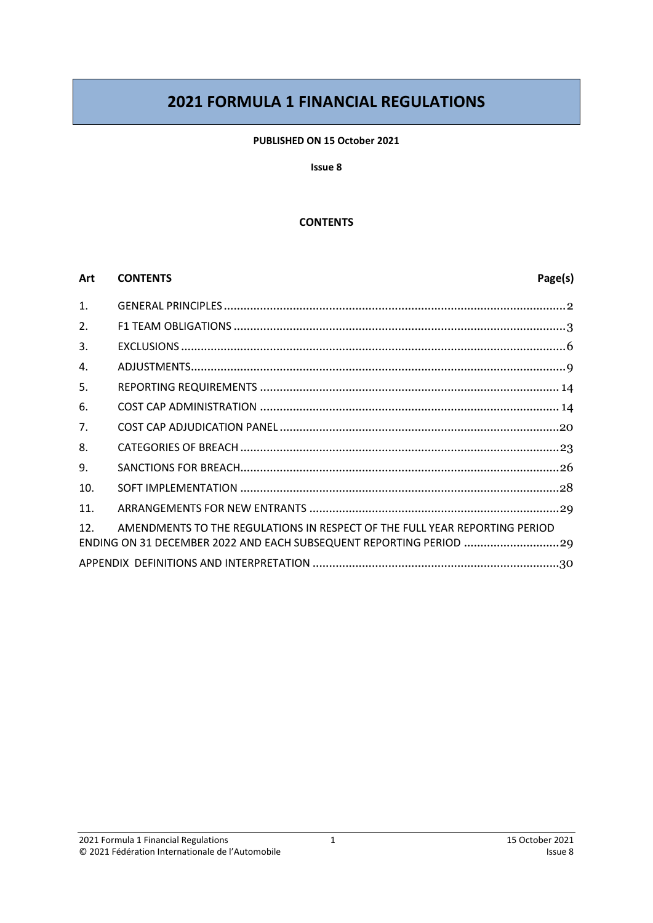# **2021 FORMULA 1 FINANCIAL REGULATIONS**

#### **PUBLISHED ON 15 October 2021**

#### **Issue 8**

#### **CONTENTS**

#### **Art CONTENTS Page(s)**

| 1.              |                                                                                                                                                  |
|-----------------|--------------------------------------------------------------------------------------------------------------------------------------------------|
| 2.              |                                                                                                                                                  |
| 3.              |                                                                                                                                                  |
| 4.              |                                                                                                                                                  |
| 5.              |                                                                                                                                                  |
| 6.              |                                                                                                                                                  |
| 7.              |                                                                                                                                                  |
| 8.              |                                                                                                                                                  |
| 9.              |                                                                                                                                                  |
| 10.             |                                                                                                                                                  |
| 11.             |                                                                                                                                                  |
| 12 <sub>1</sub> | AMENDMENTS TO THE REGULATIONS IN RESPECT OF THE FULL YEAR REPORTING PERIOD<br>ENDING ON 31 DECEMBER 2022 AND EACH SUBSEQUENT REPORTING PERIOD 29 |
|                 |                                                                                                                                                  |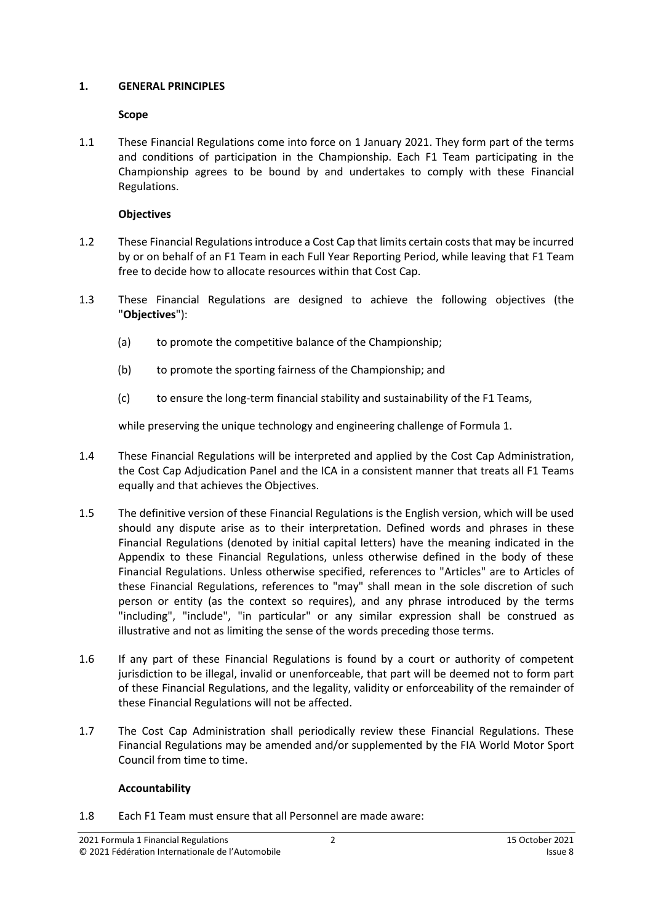#### <span id="page-1-0"></span>**1. GENERAL PRINCIPLES**

#### **Scope**

1.1 These Financial Regulations come into force on 1 January 2021. They form part of the terms and conditions of participation in the Championship. Each F1 Team participating in the Championship agrees to be bound by and undertakes to comply with these Financial Regulations.

#### **Objectives**

- 1.2 These Financial Regulationsintroduce a Cost Cap that limits certain coststhat may be incurred by or on behalf of an F1 Team in each Full Year Reporting Period, while leaving that F1 Team free to decide how to allocate resources within that Cost Cap.
- <span id="page-1-2"></span>1.3 These Financial Regulations are designed to achieve the following objectives (the "**Objectives**"):
	- (a) to promote the competitive balance of the Championship;
	- (b) to promote the sporting fairness of the Championship; and
	- (c) to ensure the long-term financial stability and sustainability of the F1 Teams,

while preserving the unique technology and engineering challenge of Formula 1.

- 1.4 These Financial Regulations will be interpreted and applied by the Cost Cap Administration, the Cost Cap Adjudication Panel and the ICA in a consistent manner that treats all F1 Teams equally and that achieves the Objectives.
- 1.5 The definitive version of these Financial Regulations is the English version, which will be used should any dispute arise as to their interpretation. Defined words and phrases in these Financial Regulations (denoted by initial capital letters) have the meaning indicated in the Appendix to these Financial Regulations, unless otherwise defined in the body of these Financial Regulations. Unless otherwise specified, references to "Articles" are to Articles of these Financial Regulations, references to "may" shall mean in the sole discretion of such person or entity (as the context so requires), and any phrase introduced by the terms "including", "include", "in particular" or any similar expression shall be construed as illustrative and not as limiting the sense of the words preceding those terms.
- 1.6 If any part of these Financial Regulations is found by a court or authority of competent jurisdiction to be illegal, invalid or unenforceable, that part will be deemed not to form part of these Financial Regulations, and the legality, validity or enforceability of the remainder of these Financial Regulations will not be affected.
- 1.7 The Cost Cap Administration shall periodically review these Financial Regulations. These Financial Regulations may be amended and/or supplemented by the FIA World Motor Sport Council from time to time.

## **Accountability**

<span id="page-1-1"></span>1.8 Each F1 Team must ensure that all Personnel are made aware: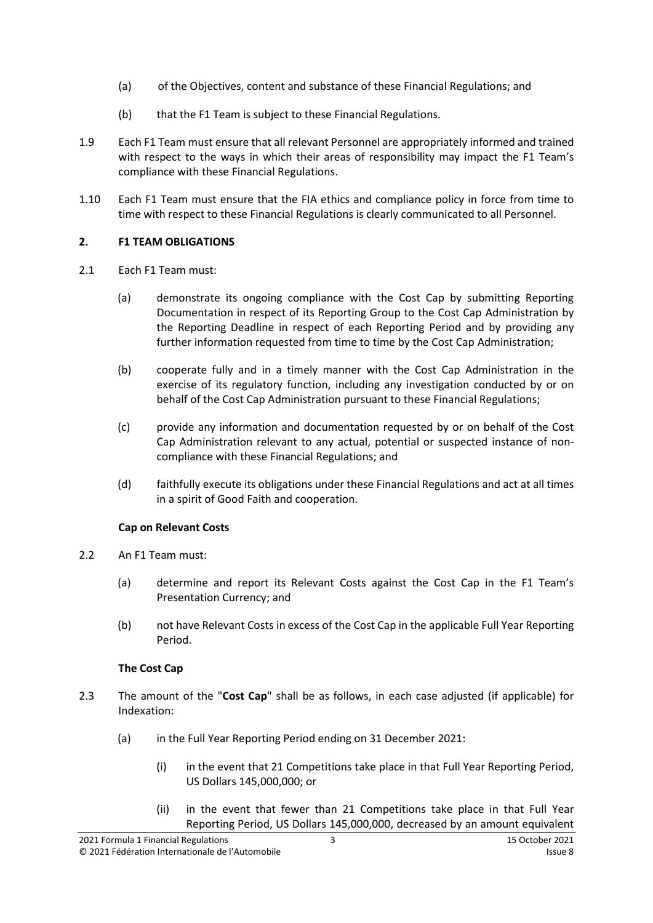- (a) of the Objectives, content and substance of these Financial Regulations; and
- (b) that the F1 Team is subject to these Financial Regulations.
- <span id="page-2-1"></span>1.9 Each F1 Team must ensure that all relevant Personnel are appropriately informed and trained with respect to the ways in which their areas of responsibility may impact the F1 Team's compliance with these Financial Regulations.
- <span id="page-2-2"></span>1.10 Each F1 Team must ensure that the FIA ethics and compliance policy in force from time to time with respect to these Financial Regulations is clearly communicated to all Personnel.

## <span id="page-2-0"></span>**2. F1 TEAM OBLIGATIONS**

- <span id="page-2-3"></span>2.1 Each F1 Team must:
	- (a) demonstrate its ongoing compliance with the Cost Cap by submitting Reporting Documentation in respect of its Reporting Group to the Cost Cap Administration by the Reporting Deadline in respect of each Reporting Period and by providing any further information requested from time to time by the Cost Cap Administration;
	- (b) cooperate fully and in a timely manner with the Cost Cap Administration in the exercise of its regulatory function, including any investigation conducted by or on behalf of the Cost Cap Administration pursuant to these Financial Regulations;
	- (c) provide any information and documentation requested by or on behalf of the Cost Cap Administration relevant to any actual, potential or suspected instance of noncompliance with these Financial Regulations; and
	- (d) faithfully execute its obligations under these Financial Regulations and act at all times in a spirit of Good Faith and cooperation.

#### **Cap on Relevant Costs**

- 2.2 An F1 Team must:
	- (a) determine and report its Relevant Costs against the Cost Cap in the F1 Team's Presentation Currency; and
	- (b) not have Relevant Costs in excess of the Cost Cap in the applicable Full Year Reporting Period.

## **The Cost Cap**

- <span id="page-2-4"></span>2.3 The amount of the "**Cost Cap**" shall be as follows, in each case adjusted (if applicable) for Indexation:
	- (a) in the Full Year Reporting Period ending on 31 December 2021:
		- (i) in the event that 21 Competitions take place in that Full Year Reporting Period, US Dollars 145,000,000; or
		- (ii) in the event that fewer than 21 Competitions take place in that Full Year Reporting Period, US Dollars 145,000,000, decreased by an amount equivalent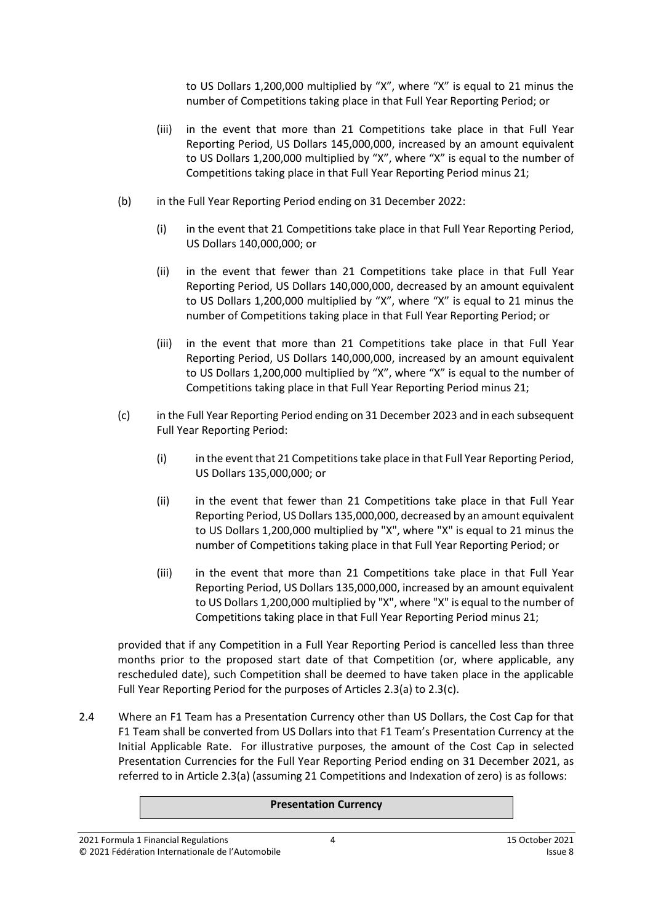to US Dollars 1,200,000 multiplied by "X", where "X" is equal to 21 minus the number of Competitions taking place in that Full Year Reporting Period; or

- (iii) in the event that more than 21 Competitions take place in that Full Year Reporting Period, US Dollars 145,000,000, increased by an amount equivalent to US Dollars 1,200,000 multiplied by "X", where "X" is equal to the number of Competitions taking place in that Full Year Reporting Period minus 21;
- (b) in the Full Year Reporting Period ending on 31 December 2022:
	- (i) in the event that 21 Competitions take place in that Full Year Reporting Period, US Dollars 140,000,000; or
	- (ii) in the event that fewer than 21 Competitions take place in that Full Year Reporting Period, US Dollars 140,000,000, decreased by an amount equivalent to US Dollars 1,200,000 multiplied by "X", where "X" is equal to 21 minus the number of Competitions taking place in that Full Year Reporting Period; or
	- (iii) in the event that more than 21 Competitions take place in that Full Year Reporting Period, US Dollars 140,000,000, increased by an amount equivalent to US Dollars 1,200,000 multiplied by "X", where "X" is equal to the number of Competitions taking place in that Full Year Reporting Period minus 21;
- (c) in the Full Year Reporting Period ending on 31 December 2023 and in each subsequent Full Year Reporting Period:
	- (i) in the event that 21 Competitions take place in that Full Year Reporting Period, US Dollars 135,000,000; or
	- (ii) in the event that fewer than 21 Competitions take place in that Full Year Reporting Period, US Dollars 135,000,000, decreased by an amount equivalent to US Dollars 1,200,000 multiplied by "X", where "X" is equal to 21 minus the number of Competitions taking place in that Full Year Reporting Period; or
	- (iii) in the event that more than 21 Competitions take place in that Full Year Reporting Period, US Dollars 135,000,000, increased by an amount equivalent to US Dollars 1,200,000 multiplied by "X", where "X" is equal to the number of Competitions taking place in that Full Year Reporting Period minus 21;

provided that if any Competition in a Full Year Reporting Period is cancelled less than three months prior to the proposed start date of that Competition (or, where applicable, any rescheduled date), such Competition shall be deemed to have taken place in the applicable Full Year Reporting Period for the purposes of Articles 2.3(a) to 2.3(c).

2.4 Where an F1 Team has a Presentation Currency other than US Dollars, the Cost Cap for that F1 Team shall be converted from US Dollars into that F1 Team's Presentation Currency at the Initial Applicable Rate. For illustrative purposes, the amount of the Cost Cap in selected Presentation Currencies for the Full Year Reporting Period ending on 31 December 2021, as referred to in Article 2.3(a) (assuming 21 Competitions and Indexation of zero) is as follows:

#### **Presentation Currency**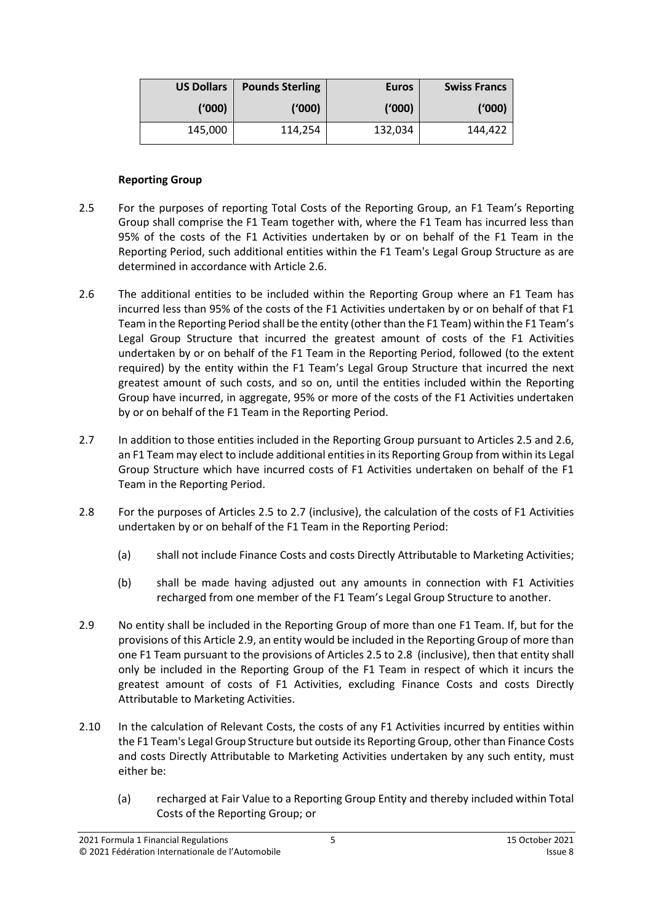| <b>US Dollars</b> | <b>Pounds Sterling</b> | <b>Euros</b> | <b>Swiss Francs</b> |
|-------------------|------------------------|--------------|---------------------|
| (000)             | (1000)                 | ('000)       | ('000)              |
| 145,000           | 114,254                | 132,034      | 144,422             |

#### **Reporting Group**

- <span id="page-4-1"></span>2.5 For the purposes of reporting Total Costs of the Reporting Group, an F1 Team's Reporting Group shall comprise the F1 Team together with, where the F1 Team has incurred less than 95% of the costs of the F1 Activities undertaken by or on behalf of the F1 Team in the Reporting Period, such additional entities within the F1 Team's Legal Group Structure as are determined in accordance with Articl[e 2.6.](#page-4-0)
- <span id="page-4-0"></span>2.6 The additional entities to be included within the Reporting Group where an F1 Team has incurred less than 95% of the costs of the F1 Activities undertaken by or on behalf of that F1 Team in the Reporting Period shall be the entity (other than the F1 Team) within the F1 Team's Legal Group Structure that incurred the greatest amount of costs of the F1 Activities undertaken by or on behalf of the F1 Team in the Reporting Period, followed (to the extent required) by the entity within the F1 Team's Legal Group Structure that incurred the next greatest amount of such costs, and so on, until the entities included within the Reporting Group have incurred, in aggregate, 95% or more of the costs of the F1 Activities undertaken by or on behalf of the F1 Team in the Reporting Period.
- <span id="page-4-2"></span>2.7 In addition to those entities included in the Reporting Group pursuant to Articles [2.5](#page-4-1) an[d 2.6,](#page-4-0) an F1 Team may elect to include additional entities in its Reporting Group from within its Legal Group Structure which have incurred costs of F1 Activities undertaken on behalf of the F1 Team in the Reporting Period.
- <span id="page-4-4"></span>2.8 For the purposes of Articles [2.5](#page-4-1) to [2.7](#page-4-2) (inclusive), the calculation of the costs of F1 Activities undertaken by or on behalf of the F1 Team in the Reporting Period:
	- (a) shall not include Finance Costs and costs Directly Attributable to Marketing Activities;
	- (b) shall be made having adjusted out any amounts in connection with F1 Activities recharged from one member of the F1 Team's Legal Group Structure to another.
- <span id="page-4-3"></span>2.9 No entity shall be included in the Reporting Group of more than one F1 Team. If, but for the provisions of this Article [2.9,](#page-4-3) an entity would be included in the Reporting Group of more than one F1 Team pursuant to the provisions of Articles [2.5](#page-4-1) to [2.8](#page-4-4) (inclusive), then that entity shall only be included in the Reporting Group of the F1 Team in respect of which it incurs the greatest amount of costs of F1 Activities, excluding Finance Costs and costs Directly Attributable to Marketing Activities.
- 2.10 In the calculation of Relevant Costs, the costs of any F1 Activities incurred by entities within the F1 Team's Legal Group Structure but outside its Reporting Group, other than Finance Costs and costs Directly Attributable to Marketing Activities undertaken by any such entity, must either be:
	- (a) recharged at Fair Value to a Reporting Group Entity and thereby included within Total Costs of the Reporting Group; or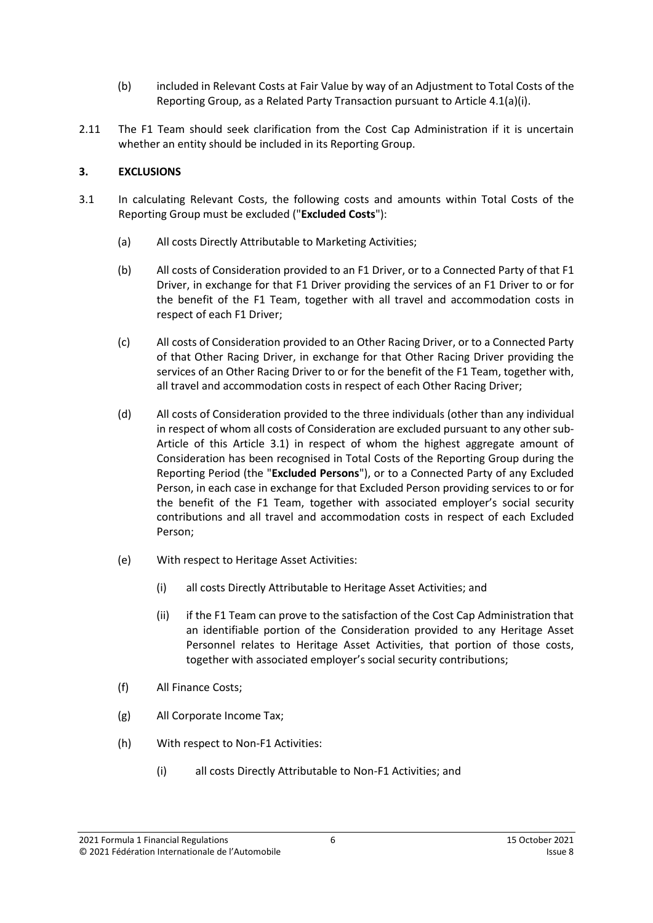- (b) included in Relevant Costs at Fair Value by way of an Adjustment to Total Costs of the Reporting Group, as a Related Party Transaction pursuant to Article 4.1(a)(i).
- <span id="page-5-5"></span>2.11 The F1 Team should seek clarification from the Cost Cap Administration if it is uncertain whether an entity should be included in its Reporting Group.

## <span id="page-5-0"></span>**3. EXCLUSIONS**

- <span id="page-5-8"></span><span id="page-5-7"></span><span id="page-5-6"></span><span id="page-5-4"></span><span id="page-5-3"></span><span id="page-5-2"></span><span id="page-5-1"></span>3.1 In calculating Relevant Costs, the following costs and amounts within Total Costs of the Reporting Group must be excluded ("**Excluded Costs**"):
	- (a) All costs Directly Attributable to Marketing Activities;
	- (b) All costs of Consideration provided to an F1 Driver, or to a Connected Party of that F1 Driver, in exchange for that F1 Driver providing the services of an F1 Driver to or for the benefit of the F1 Team, together with all travel and accommodation costs in respect of each F1 Driver;
	- (c) All costs of Consideration provided to an Other Racing Driver, or to a Connected Party of that Other Racing Driver, in exchange for that Other Racing Driver providing the services of an Other Racing Driver to or for the benefit of the F1 Team, together with, all travel and accommodation costs in respect of each Other Racing Driver;
	- (d) All costs of Consideration provided to the three individuals (other than any individual in respect of whom all costs of Consideration are excluded pursuant to any other sub-Article of this Article [3.1\)](#page-5-1) in respect of whom the highest aggregate amount of Consideration has been recognised in Total Costs of the Reporting Group during the Reporting Period (the "**Excluded Persons**"), or to a Connected Party of any Excluded Person, in each case in exchange for that Excluded Person providing services to or for the benefit of the F1 Team, together with associated employer's social security contributions and all travel and accommodation costs in respect of each Excluded Person;
	- (e) With respect to Heritage Asset Activities:
		- (i) all costs Directly Attributable to Heritage Asset Activities; and
		- (ii) if the F1 Team can prove to the satisfaction of the Cost Cap Administration that an identifiable portion of the Consideration provided to any Heritage Asset Personnel relates to Heritage Asset Activities, that portion of those costs, together with associated employer's social security contributions;
	- (f) All Finance Costs;
	- (g) All Corporate Income Tax;
	- (h) With respect to Non-F1 Activities:
		- (i) all costs Directly Attributable to Non-F1 Activities; and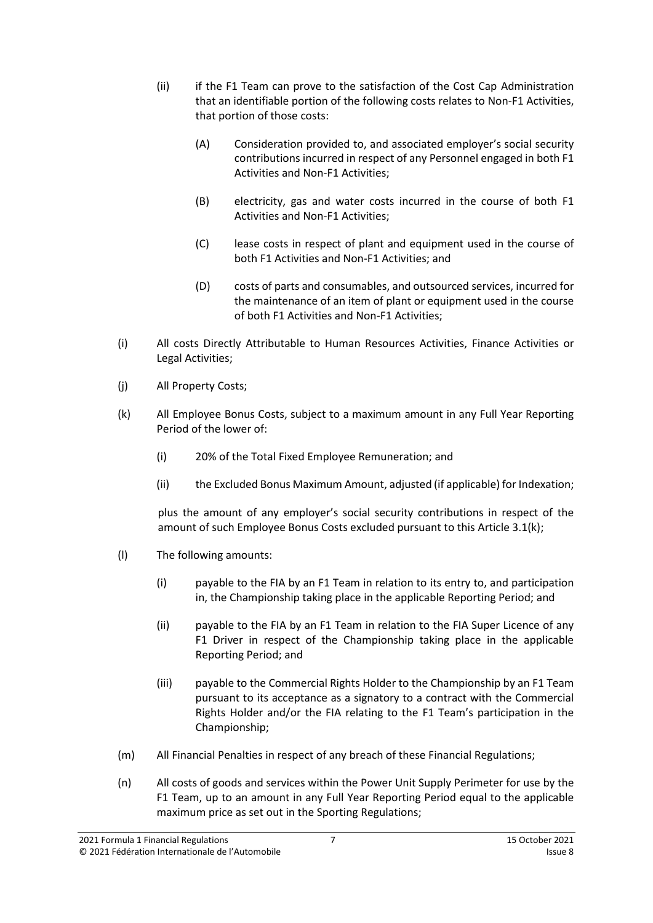- (ii) if the F1 Team can prove to the satisfaction of the Cost Cap Administration that an identifiable portion of the following costs relates to Non-F1 Activities, that portion of those costs:
	- (A) Consideration provided to, and associated employer's social security contributions incurred in respect of any Personnel engaged in both F1 Activities and Non-F1 Activities;
	- (B) electricity, gas and water costs incurred in the course of both F1 Activities and Non-F1 Activities;
	- (C) lease costs in respect of plant and equipment used in the course of both F1 Activities and Non-F1 Activities; and
	- (D) costs of parts and consumables, and outsourced services, incurred for the maintenance of an item of plant or equipment used in the course of both F1 Activities and Non-F1 Activities;
- <span id="page-6-0"></span>(i) All costs Directly Attributable to Human Resources Activities, Finance Activities or Legal Activities;
- (j) All Property Costs;
- <span id="page-6-1"></span>(k) All Employee Bonus Costs, subject to a maximum amount in any Full Year Reporting Period of the lower of:
	- (i) 20% of the Total Fixed Employee Remuneration; and
	- (ii) the Excluded Bonus Maximum Amount, adjusted (if applicable) for Indexation;

plus the amount of any employer's social security contributions in respect of the amount of such Employee Bonus Costs excluded pursuant to this Article 3.1(k);

- (l) The following amounts:
	- (i) payable to the FIA by an F1 Team in relation to its entry to, and participation in, the Championship taking place in the applicable Reporting Period; and
	- (ii) payable to the FIA by an F1 Team in relation to the FIA Super Licence of any F1 Driver in respect of the Championship taking place in the applicable Reporting Period; and
	- (iii) payable to the Commercial Rights Holder to the Championship by an F1 Team pursuant to its acceptance as a signatory to a contract with the Commercial Rights Holder and/or the FIA relating to the F1 Team's participation in the Championship;
- (m) All Financial Penalties in respect of any breach of these Financial Regulations;
- (n) All costs of goods and services within the Power Unit Supply Perimeter for use by the F1 Team, up to an amount in any Full Year Reporting Period equal to the applicable maximum price as set out in the Sporting Regulations;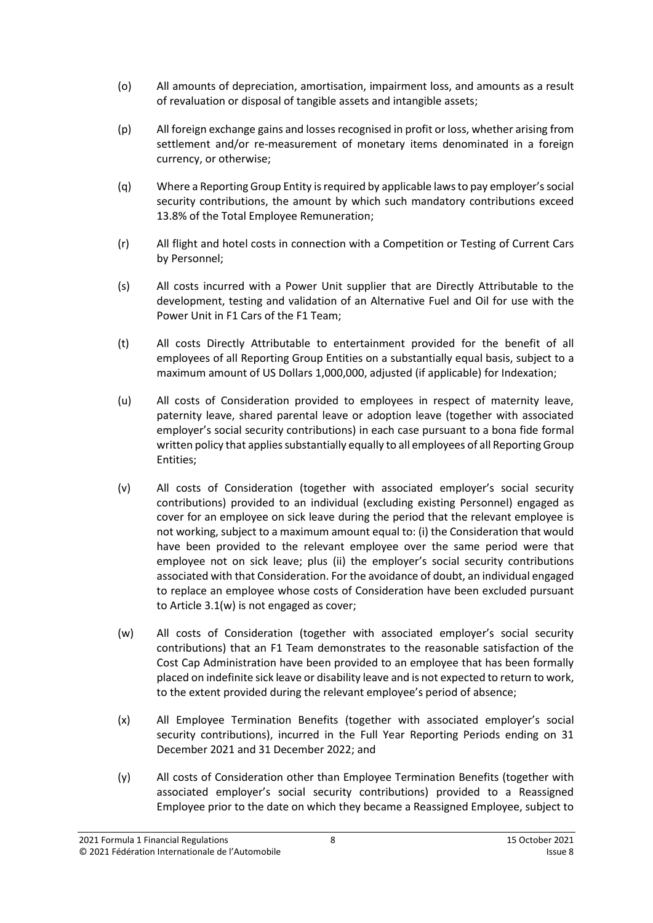- (o) All amounts of depreciation, amortisation, impairment loss, and amounts as a result of revaluation or disposal of tangible assets and intangible assets;
- (p) All foreign exchange gains and lossesrecognised in profit or loss, whether arising from settlement and/or re-measurement of monetary items denominated in a foreign currency, or otherwise;
- (q) Where a Reporting Group Entity is required by applicable lawsto pay employer'ssocial security contributions, the amount by which such mandatory contributions exceed 13.8% of the Total Employee Remuneration;
- (r) All flight and hotel costs in connection with a Competition or Testing of Current Cars by Personnel;
- (s) All costs incurred with a Power Unit supplier that are Directly Attributable to the development, testing and validation of an Alternative Fuel and Oil for use with the Power Unit in F1 Cars of the F1 Team;
- <span id="page-7-1"></span>(t) All costs Directly Attributable to entertainment provided for the benefit of all employees of all Reporting Group Entities on a substantially equal basis, subject to a maximum amount of US Dollars 1,000,000, adjusted (if applicable) for Indexation;
- (u) All costs of Consideration provided to employees in respect of maternity leave, paternity leave, shared parental leave or adoption leave (together with associated employer's social security contributions) in each case pursuant to a bona fide formal written policy that applies substantially equally to all employees of all Reporting Group Entities;
- (v) All costs of Consideration (together with associated employer's social security contributions) provided to an individual (excluding existing Personnel) engaged as cover for an employee on sick leave during the period that the relevant employee is not working, subject to a maximum amount equal to: (i) the Consideration that would have been provided to the relevant employee over the same period were that employee not on sick leave; plus (ii) the employer's social security contributions associated with that Consideration. For the avoidance of doubt, an individual engaged to replace an employee whose costs of Consideration have been excluded pursuant to Article 3.1(w) is not engaged as cover;
- <span id="page-7-2"></span>(w) All costs of Consideration (together with associated employer's social security contributions) that an F1 Team demonstrates to the reasonable satisfaction of the Cost Cap Administration have been provided to an employee that has been formally placed on indefinite sick leave or disability leave and is not expected to return to work, to the extent provided during the relevant employee's period of absence;
- <span id="page-7-0"></span>(x) All Employee Termination Benefits (together with associated employer's social security contributions), incurred in the Full Year Reporting Periods ending on 31 December 2021 and 31 December 2022; and
- <span id="page-7-3"></span>(y) All costs of Consideration other than Employee Termination Benefits (together with associated employer's social security contributions) provided to a Reassigned Employee prior to the date on which they became a Reassigned Employee, subject to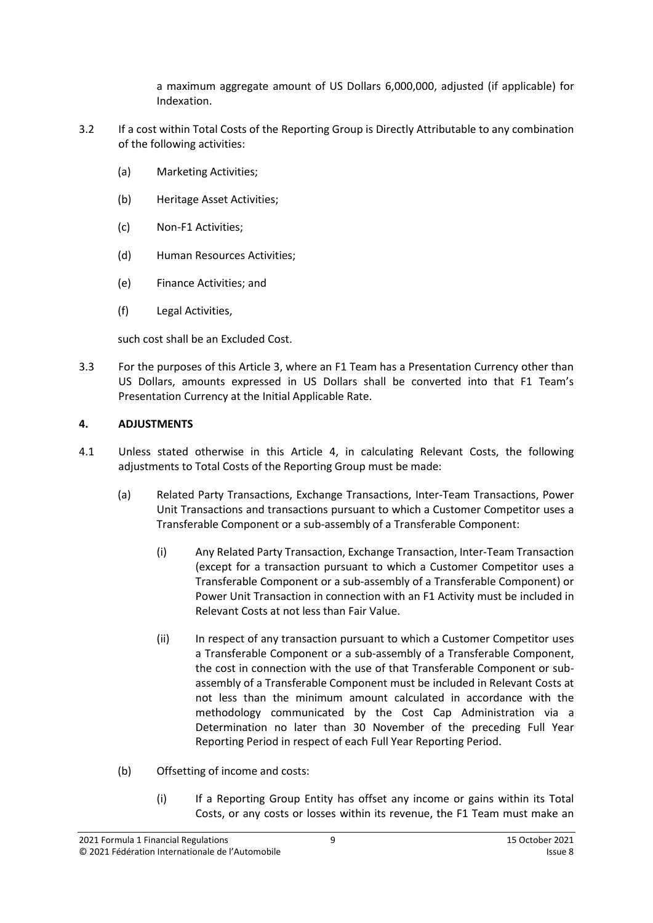a maximum aggregate amount of US Dollars 6,000,000, adjusted (if applicable) for Indexation.

- <span id="page-8-2"></span>3.2 If a cost within Total Costs of the Reporting Group is Directly Attributable to any combination of the following activities:
	- (a) Marketing Activities;
	- (b) Heritage Asset Activities;
	- (c) Non-F1 Activities;
	- (d) Human Resources Activities;
	- (e) Finance Activities; and
	- (f) Legal Activities,

such cost shall be an Excluded Cost.

3.3 For the purposes of this Article 3, where an F1 Team has a Presentation Currency other than US Dollars, amounts expressed in US Dollars shall be converted into that F1 Team's Presentation Currency at the Initial Applicable Rate.

## <span id="page-8-0"></span>**4. ADJUSTMENTS**

- <span id="page-8-1"></span>4.1 Unless stated otherwise in this Article [4,](#page-8-0) in calculating Relevant Costs, the following adjustments to Total Costs of the Reporting Group must be made:
	- (a) Related Party Transactions, Exchange Transactions, Inter-Team Transactions, Power Unit Transactions and transactions pursuant to which a Customer Competitor uses a Transferable Component or a sub-assembly of a Transferable Component:
		- (i) Any Related Party Transaction, Exchange Transaction, Inter-Team Transaction (except for a transaction pursuant to which a Customer Competitor uses a Transferable Component or a sub-assembly of a Transferable Component) or Power Unit Transaction in connection with an F1 Activity must be included in Relevant Costs at not less than Fair Value.
		- (ii) In respect of any transaction pursuant to which a Customer Competitor uses a Transferable Component or a sub-assembly of a Transferable Component, the cost in connection with the use of that Transferable Component or subassembly of a Transferable Component must be included in Relevant Costs at not less than the minimum amount calculated in accordance with the methodology communicated by the Cost Cap Administration via a Determination no later than 30 November of the preceding Full Year Reporting Period in respect of each Full Year Reporting Period.
	- (b) Offsetting of income and costs:
		- (i) If a Reporting Group Entity has offset any income or gains within its Total Costs, or any costs or losses within its revenue, the F1 Team must make an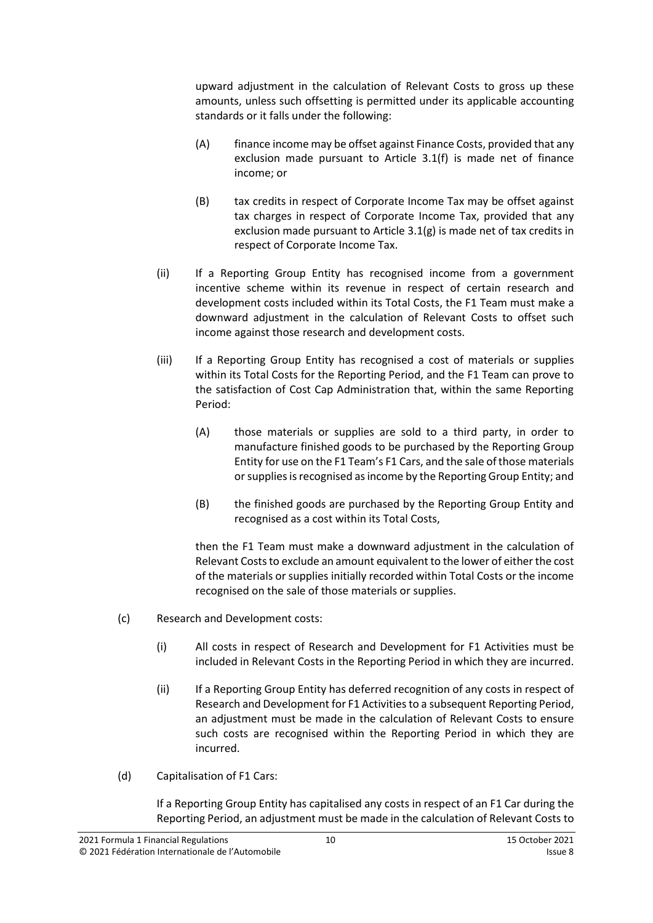upward adjustment in the calculation of Relevant Costs to gross up these amounts, unless such offsetting is permitted under its applicable accounting standards or it falls under the following:

- (A) finance income may be offset against Finance Costs, provided that any exclusion made pursuant to Article [3.1\(f\)](#page-5-2) is made net of finance income; or
- (B) tax credits in respect of Corporate Income Tax may be offset against tax charges in respect of Corporate Income Tax, provided that any exclusion made pursuant to Article [3.1\(g\)](#page-5-3) is made net of tax credits in respect of Corporate Income Tax.
- (ii) If a Reporting Group Entity has recognised income from a government incentive scheme within its revenue in respect of certain research and development costs included within its Total Costs, the F1 Team must make a downward adjustment in the calculation of Relevant Costs to offset such income against those research and development costs.
- (iii) If a Reporting Group Entity has recognised a cost of materials or supplies within its Total Costs for the Reporting Period, and the F1 Team can prove to the satisfaction of Cost Cap Administration that, within the same Reporting Period:
	- (A) those materials or supplies are sold to a third party, in order to manufacture finished goods to be purchased by the Reporting Group Entity for use on the F1 Team's F1 Cars, and the sale of those materials or supplies is recognised as income by the Reporting Group Entity; and
	- (B) the finished goods are purchased by the Reporting Group Entity and recognised as a cost within its Total Costs,

then the F1 Team must make a downward adjustment in the calculation of Relevant Costs to exclude an amount equivalent to the lower of either the cost of the materials or supplies initially recorded within Total Costs or the income recognised on the sale of those materials or supplies.

- (c) Research and Development costs:
	- (i) All costs in respect of Research and Development for F1 Activities must be included in Relevant Costs in the Reporting Period in which they are incurred.
	- (ii) If a Reporting Group Entity has deferred recognition of any costs in respect of Research and Development for F1 Activities to a subsequent Reporting Period, an adjustment must be made in the calculation of Relevant Costs to ensure such costs are recognised within the Reporting Period in which they are incurred.
- (d) Capitalisation of F1 Cars:

If a Reporting Group Entity has capitalised any costs in respect of an F1 Car during the Reporting Period, an adjustment must be made in the calculation of Relevant Costs to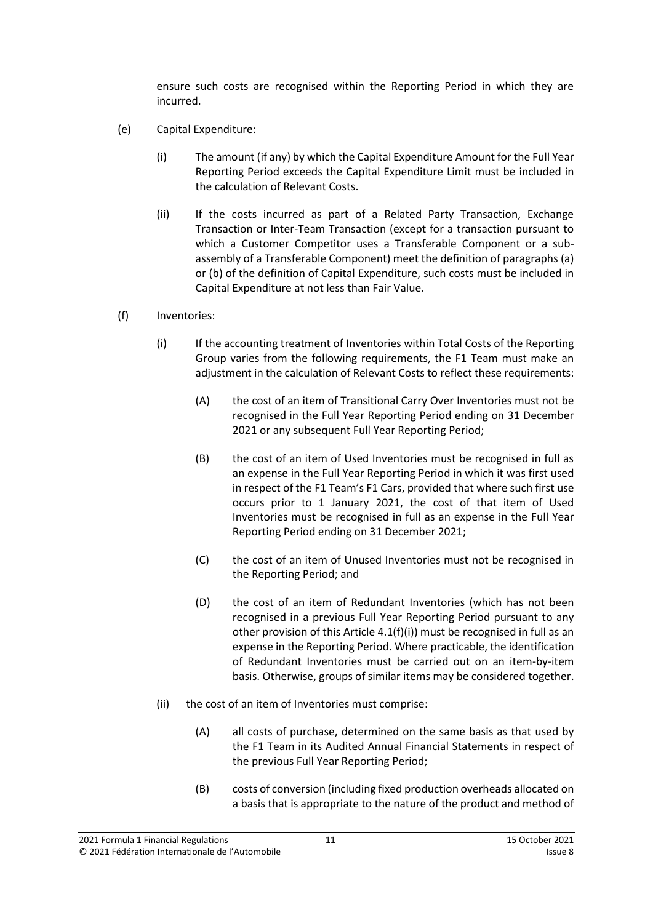ensure such costs are recognised within the Reporting Period in which they are incurred.

- <span id="page-10-0"></span>(e) Capital Expenditure:
	- (i) The amount (if any) by which the Capital Expenditure Amount for the Full Year Reporting Period exceeds the Capital Expenditure Limit must be included in the calculation of Relevant Costs.
	- (ii) If the costs incurred as part of a Related Party Transaction, Exchange Transaction or Inter-Team Transaction (except for a transaction pursuant to which a Customer Competitor uses a Transferable Component or a subassembly of a Transferable Component) meet the definition of paragraphs (a) or (b) of the definition of Capital Expenditure, such costs must be included in Capital Expenditure at not less than Fair Value.
- (f) Inventories:
	- (i) If the accounting treatment of Inventories within Total Costs of the Reporting Group varies from the following requirements, the F1 Team must make an adjustment in the calculation of Relevant Costs to reflect these requirements:
		- (A) the cost of an item of Transitional Carry Over Inventories must not be recognised in the Full Year Reporting Period ending on 31 December 2021 or any subsequent Full Year Reporting Period;
		- (B) the cost of an item of Used Inventories must be recognised in full as an expense in the Full Year Reporting Period in which it was first used in respect of the F1 Team's F1 Cars, provided that where such first use occurs prior to 1 January 2021, the cost of that item of Used Inventories must be recognised in full as an expense in the Full Year Reporting Period ending on 31 December 2021;
		- (C) the cost of an item of Unused Inventories must not be recognised in the Reporting Period; and
		- (D) the cost of an item of Redundant Inventories (which has not been recognised in a previous Full Year Reporting Period pursuant to any other provision of this Article 4.1(f)(i)) must be recognised in full as an expense in the Reporting Period. Where practicable, the identification of Redundant Inventories must be carried out on an item-by-item basis. Otherwise, groups of similar items may be considered together.
	- (ii) the cost of an item of Inventories must comprise:
		- (A) all costs of purchase, determined on the same basis as that used by the F1 Team in its Audited Annual Financial Statements in respect of the previous Full Year Reporting Period;
		- (B) costs of conversion (including fixed production overheads allocated on a basis that is appropriate to the nature of the product and method of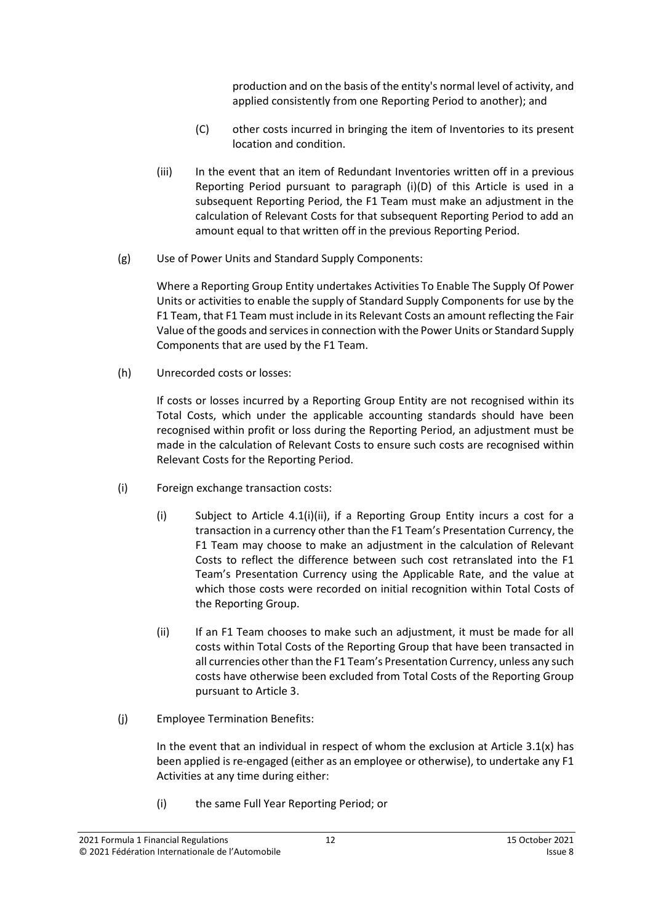production and on the basis of the entity's normal level of activity, and applied consistently from one Reporting Period to another); and

- (C) other costs incurred in bringing the item of Inventories to its present location and condition.
- (iii) In the event that an item of Redundant Inventories written off in a previous Reporting Period pursuant to paragraph (i)(D) of this Article is used in a subsequent Reporting Period, the F1 Team must make an adjustment in the calculation of Relevant Costs for that subsequent Reporting Period to add an amount equal to that written off in the previous Reporting Period.
- (g) Use of Power Units and Standard Supply Components:

Where a Reporting Group Entity undertakes Activities To Enable The Supply Of Power Units or activities to enable the supply of Standard Supply Components for use by the F1 Team, that F1 Team must include in its Relevant Costs an amount reflecting the Fair Value of the goods and servicesin connection with the Power Units or Standard Supply Components that are used by the F1 Team.

(h) Unrecorded costs or losses:

If costs or losses incurred by a Reporting Group Entity are not recognised within its Total Costs, which under the applicable accounting standards should have been recognised within profit or loss during the Reporting Period, an adjustment must be made in the calculation of Relevant Costs to ensure such costs are recognised within Relevant Costs for the Reporting Period.

- (i) Foreign exchange transaction costs:
	- (i) Subject to Article [4.1\(i\)\(ii\),](#page-11-0) if a Reporting Group Entity incurs a cost for a transaction in a currency other than the F1 Team's Presentation Currency, the F1 Team may choose to make an adjustment in the calculation of Relevant Costs to reflect the difference between such cost retranslated into the F1 Team's Presentation Currency using the Applicable Rate, and the value at which those costs were recorded on initial recognition within Total Costs of the Reporting Group.
	- (ii) If an F1 Team chooses to make such an adjustment, it must be made for all costs within Total Costs of the Reporting Group that have been transacted in all currencies other than the F1 Team's Presentation Currency, unless any such costs have otherwise been excluded from Total Costs of the Reporting Group pursuant to Article 3.
- <span id="page-11-0"></span>(j) Employee Termination Benefits:

In the event that an individual in respect of whom the exclusion at Article  $3.1(x)$  has been applied is re-engaged (either as an employee or otherwise), to undertake any F1 Activities at any time during either:

(i) the same Full Year Reporting Period; or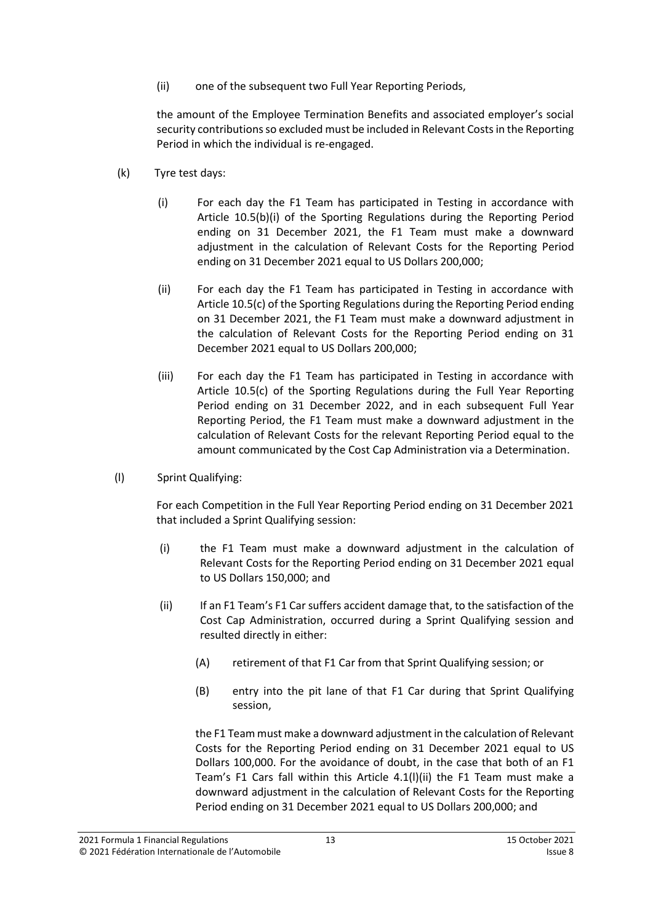(ii) one of the subsequent two Full Year Reporting Periods,

the amount of the Employee Termination Benefits and associated employer's social security contributions so excluded must be included in Relevant Costs in the Reporting Period in which the individual is re-engaged.

- (k) Tyre test days:
	- (i) For each day the F1 Team has participated in Testing in accordance with Article 10.5(b)(i) of the Sporting Regulations during the Reporting Period ending on 31 December 2021, the F1 Team must make a downward adjustment in the calculation of Relevant Costs for the Reporting Period ending on 31 December 2021 equal to US Dollars 200,000;
	- (ii) For each day the F1 Team has participated in Testing in accordance with Article 10.5(c) of the Sporting Regulations during the Reporting Period ending on 31 December 2021, the F1 Team must make a downward adjustment in the calculation of Relevant Costs for the Reporting Period ending on 31 December 2021 equal to US Dollars 200,000;
	- (iii) For each day the F1 Team has participated in Testing in accordance with Article 10.5(c) of the Sporting Regulations during the Full Year Reporting Period ending on 31 December 2022, and in each subsequent Full Year Reporting Period, the F1 Team must make a downward adjustment in the calculation of Relevant Costs for the relevant Reporting Period equal to the amount communicated by the Cost Cap Administration via a Determination.
- (l) Sprint Qualifying:

For each Competition in the Full Year Reporting Period ending on 31 December 2021 that included a Sprint Qualifying session:

- (i) the F1 Team must make a downward adjustment in the calculation of Relevant Costs for the Reporting Period ending on 31 December 2021 equal to US Dollars 150,000; and
- (ii) If an F1 Team's F1 Car suffers accident damage that, to the satisfaction of the Cost Cap Administration, occurred during a Sprint Qualifying session and resulted directly in either:
	- (A) retirement of that F1 Car from that Sprint Qualifying session; or
	- (B) entry into the pit lane of that F1 Car during that Sprint Qualifying session,

the F1 Team must make a downward adjustment in the calculation of Relevant Costs for the Reporting Period ending on 31 December 2021 equal to US Dollars 100,000. For the avoidance of doubt, in the case that both of an F1 Team's F1 Cars fall within this Article 4.1(l)(ii) the F1 Team must make a downward adjustment in the calculation of Relevant Costs for the Reporting Period ending on 31 December 2021 equal to US Dollars 200,000; and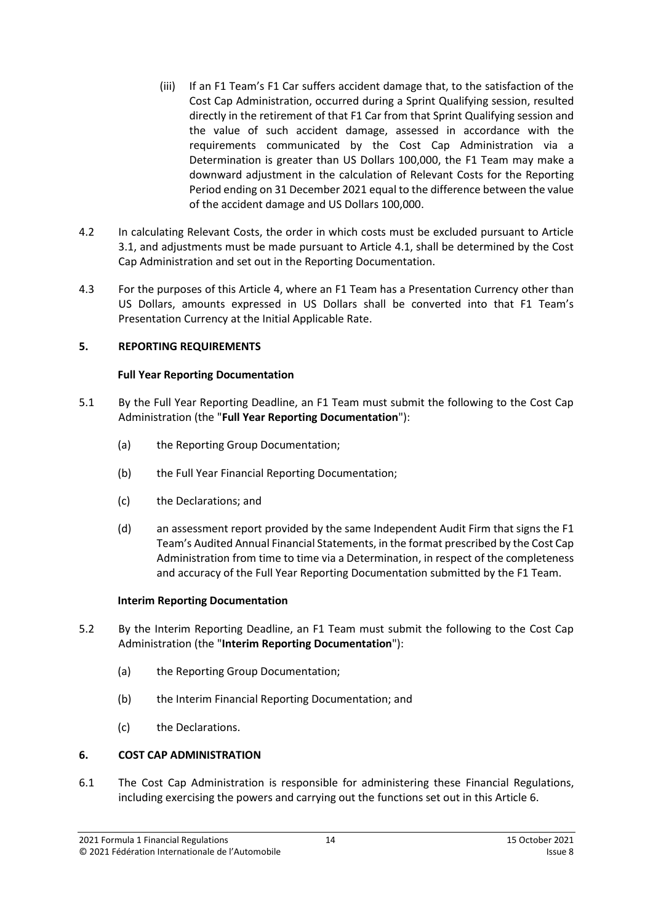- (iii) If an F1 Team's F1 Car suffers accident damage that, to the satisfaction of the Cost Cap Administration, occurred during a Sprint Qualifying session, resulted directly in the retirement of that F1 Car from that Sprint Qualifying session and the value of such accident damage, assessed in accordance with the requirements communicated by the Cost Cap Administration via a Determination is greater than US Dollars 100,000, the F1 Team may make a downward adjustment in the calculation of Relevant Costs for the Reporting Period ending on 31 December 2021 equal to the difference between the value of the accident damage and US Dollars 100,000.
- 4.2 In calculating Relevant Costs, the order in which costs must be excluded pursuant to Article 3.1, and adjustments must be made pursuant to Article 4.1, shall be determined by the Cost Cap Administration and set out in the Reporting Documentation.
- 4.3 For the purposes of this Article 4, where an F1 Team has a Presentation Currency other than US Dollars, amounts expressed in US Dollars shall be converted into that F1 Team's Presentation Currency at the Initial Applicable Rate.

## <span id="page-13-0"></span>**5. REPORTING REQUIREMENTS**

#### **Full Year Reporting Documentation**

- <span id="page-13-2"></span>5.1 By the Full Year Reporting Deadline, an F1 Team must submit the following to the Cost Cap Administration (the "**Full Year Reporting Documentation**"):
	- (a) the Reporting Group Documentation;
	- (b) the Full Year Financial Reporting Documentation;
	- (c) the Declarations; and
	- (d) an assessment report provided by the same Independent Audit Firm that signs the F1 Team's Audited Annual Financial Statements, in the format prescribed by the Cost Cap Administration from time to time via a Determination, in respect of the completeness and accuracy of the Full Year Reporting Documentation submitted by the F1 Team.

#### **Interim Reporting Documentation**

- <span id="page-13-3"></span>5.2 By the Interim Reporting Deadline, an F1 Team must submit the following to the Cost Cap Administration (the "**Interim Reporting Documentation**"):
	- (a) the Reporting Group Documentation;
	- (b) the Interim Financial Reporting Documentation; and
	- (c) the Declarations.

## <span id="page-13-1"></span>**6. COST CAP ADMINISTRATION**

6.1 The Cost Cap Administration is responsible for administering these Financial Regulations, including exercising the powers and carrying out the functions set out in this Article [6.](#page-13-1)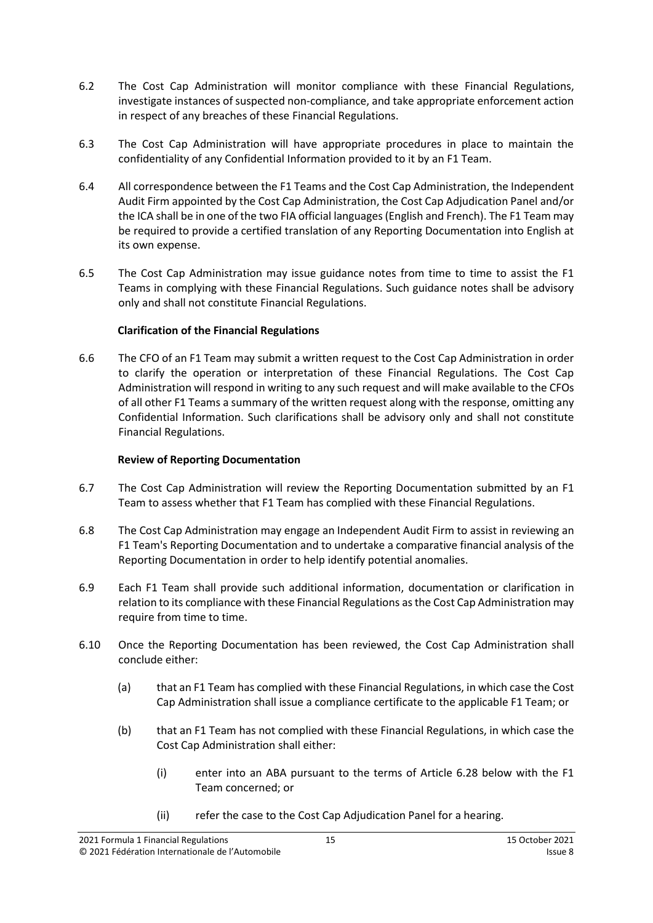- 6.2 The Cost Cap Administration will monitor compliance with these Financial Regulations, investigate instances of suspected non-compliance, and take appropriate enforcement action in respect of any breaches of these Financial Regulations.
- 6.3 The Cost Cap Administration will have appropriate procedures in place to maintain the confidentiality of any Confidential Information provided to it by an F1 Team.
- 6.4 All correspondence between the F1 Teams and the Cost Cap Administration, the Independent Audit Firm appointed by the Cost Cap Administration, the Cost Cap Adjudication Panel and/or the ICA shall be in one of the two FIA official languages (English and French). The F1 Team may be required to provide a certified translation of any Reporting Documentation into English at its own expense.
- 6.5 The Cost Cap Administration may issue guidance notes from time to time to assist the F1 Teams in complying with these Financial Regulations. Such guidance notes shall be advisory only and shall not constitute Financial Regulations.

## **Clarification of the Financial Regulations**

6.6 The CFO of an F1 Team may submit a written request to the Cost Cap Administration in order to clarify the operation or interpretation of these Financial Regulations. The Cost Cap Administration will respond in writing to any such request and will make available to the CFOs of all other F1 Teams a summary of the written request along with the response, omitting any Confidential Information. Such clarifications shall be advisory only and shall not constitute Financial Regulations.

#### **Review of Reporting Documentation**

- 6.7 The Cost Cap Administration will review the Reporting Documentation submitted by an F1 Team to assess whether that F1 Team has complied with these Financial Regulations.
- 6.8 The Cost Cap Administration may engage an Independent Audit Firm to assist in reviewing an F1 Team's Reporting Documentation and to undertake a comparative financial analysis of the Reporting Documentation in order to help identify potential anomalies.
- 6.9 Each F1 Team shall provide such additional information, documentation or clarification in relation to its compliance with these Financial Regulations as the Cost Cap Administration may require from time to time.
- <span id="page-14-1"></span><span id="page-14-0"></span>6.10 Once the Reporting Documentation has been reviewed, the Cost Cap Administration shall conclude either:
	- (a) that an F1 Team has complied with these Financial Regulations, in which case the Cost Cap Administration shall issue a compliance certificate to the applicable F1 Team; or
	- (b) that an F1 Team has not complied with these Financial Regulations, in which case the Cost Cap Administration shall either:
		- (i) enter into an ABA pursuant to the terms of Article [6.28](#page-18-0) below with the F1 Team concerned; or
		- (ii) refer the case to the Cost Cap Adjudication Panel for a hearing.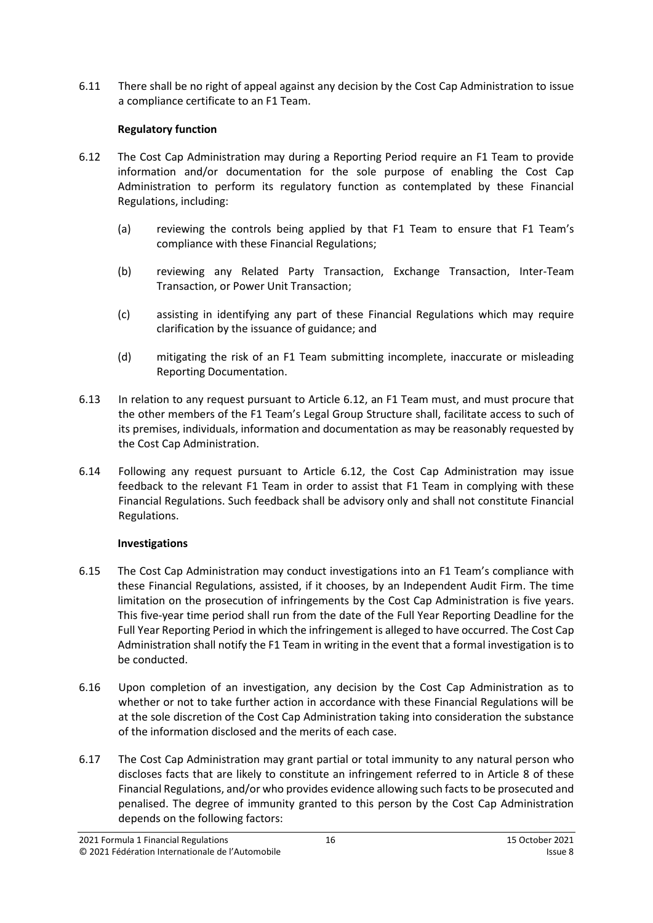6.11 There shall be no right of appeal against any decision by the Cost Cap Administration to issue a compliance certificate to an F1 Team.

## **Regulatory function**

- <span id="page-15-0"></span>6.12 The Cost Cap Administration may during a Reporting Period require an F1 Team to provide information and/or documentation for the sole purpose of enabling the Cost Cap Administration to perform its regulatory function as contemplated by these Financial Regulations, including:
	- (a) reviewing the controls being applied by that F1 Team to ensure that F1 Team's compliance with these Financial Regulations;
	- (b) reviewing any Related Party Transaction, Exchange Transaction, Inter-Team Transaction, or Power Unit Transaction;
	- (c) assisting in identifying any part of these Financial Regulations which may require clarification by the issuance of guidance; and
	- (d) mitigating the risk of an F1 Team submitting incomplete, inaccurate or misleading Reporting Documentation.
- 6.13 In relation to any request pursuant to Article [6.12,](#page-15-0) an F1 Team must, and must procure that the other members of the F1 Team's Legal Group Structure shall, facilitate access to such of its premises, individuals, information and documentation as may be reasonably requested by the Cost Cap Administration.
- 6.14 Following any request pursuant to Article [6.12,](#page-15-0) the Cost Cap Administration may issue feedback to the relevant F1 Team in order to assist that F1 Team in complying with these Financial Regulations. Such feedback shall be advisory only and shall not constitute Financial Regulations.

## **Investigations**

- 6.15 The Cost Cap Administration may conduct investigations into an F1 Team's compliance with these Financial Regulations, assisted, if it chooses, by an Independent Audit Firm. The time limitation on the prosecution of infringements by the Cost Cap Administration is five years. This five-year time period shall run from the date of the Full Year Reporting Deadline for the Full Year Reporting Period in which the infringement is alleged to have occurred. The Cost Cap Administration shall notify the F1 Team in writing in the event that a formal investigation is to be conducted.
- 6.16 Upon completion of an investigation, any decision by the Cost Cap Administration as to whether or not to take further action in accordance with these Financial Regulations will be at the sole discretion of the Cost Cap Administration taking into consideration the substance of the information disclosed and the merits of each case.
- 6.17 The Cost Cap Administration may grant partial or total immunity to any natural person who discloses facts that are likely to constitute an infringement referred to in Article 8 of these Financial Regulations, and/or who provides evidence allowing such facts to be prosecuted and penalised. The degree of immunity granted to this person by the Cost Cap Administration depends on the following factors: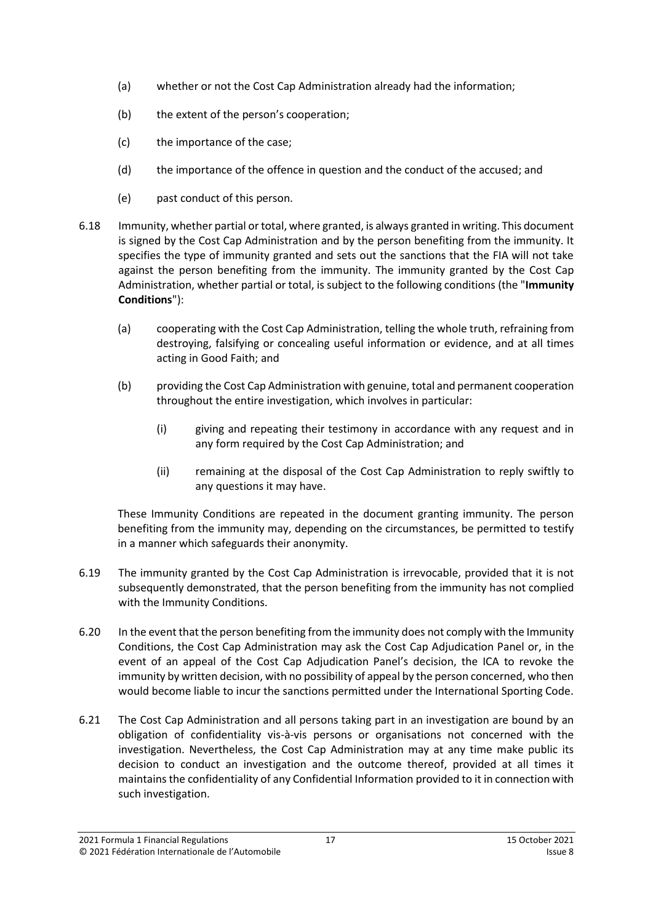- (a) whether or not the Cost Cap Administration already had the information;
- (b) the extent of the person's cooperation;
- (c) the importance of the case;
- (d) the importance of the offence in question and the conduct of the accused; and
- <span id="page-16-0"></span>(e) past conduct of this person.
- 6.18 Immunity, whether partial or total, where granted, is always granted in writing. This document is signed by the Cost Cap Administration and by the person benefiting from the immunity. It specifies the type of immunity granted and sets out the sanctions that the FIA will not take against the person benefiting from the immunity. The immunity granted by the Cost Cap Administration, whether partial or total, is subject to the following conditions (the "**Immunity Conditions**"):
	- (a) cooperating with the Cost Cap Administration, telling the whole truth, refraining from destroying, falsifying or concealing useful information or evidence, and at all times acting in Good Faith; and
	- (b) providing the Cost Cap Administration with genuine, total and permanent cooperation throughout the entire investigation, which involves in particular:
		- (i) giving and repeating their testimony in accordance with any request and in any form required by the Cost Cap Administration; and
		- (ii) remaining at the disposal of the Cost Cap Administration to reply swiftly to any questions it may have.

These Immunity Conditions are repeated in the document granting immunity. The person benefiting from the immunity may, depending on the circumstances, be permitted to testify in a manner which safeguards their anonymity.

- 6.19 The immunity granted by the Cost Cap Administration is irrevocable, provided that it is not subsequently demonstrated, that the person benefiting from the immunity has not complied with the Immunity Conditions.
- 6.20 In the event that the person benefiting from the immunity does not comply with the Immunity Conditions, the Cost Cap Administration may ask the Cost Cap Adjudication Panel or, in the event of an appeal of the Cost Cap Adjudication Panel's decision, the ICA to revoke the immunity by written decision, with no possibility of appeal by the person concerned, who then would become liable to incur the sanctions permitted under the International Sporting Code.
- 6.21 The Cost Cap Administration and all persons taking part in an investigation are bound by an obligation of confidentiality vis-à-vis persons or organisations not concerned with the investigation. Nevertheless, the Cost Cap Administration may at any time make public its decision to conduct an investigation and the outcome thereof, provided at all times it maintains the confidentiality of any Confidential Information provided to it in connection with such investigation.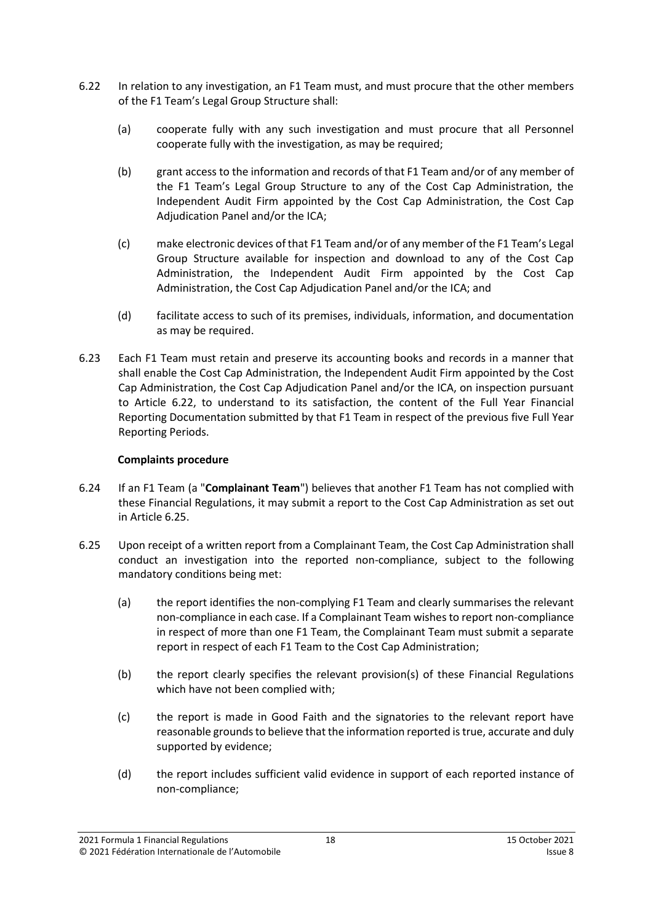- <span id="page-17-0"></span>6.22 In relation to any investigation, an F1 Team must, and must procure that the other members of the F1 Team's Legal Group Structure shall:
	- (a) cooperate fully with any such investigation and must procure that all Personnel cooperate fully with the investigation, as may be required;
	- (b) grant access to the information and records of that F1 Team and/or of any member of the F1 Team's Legal Group Structure to any of the Cost Cap Administration, the Independent Audit Firm appointed by the Cost Cap Administration, the Cost Cap Adjudication Panel and/or the ICA;
	- (c) make electronic devices of that F1 Team and/or of any member of the F1 Team's Legal Group Structure available for inspection and download to any of the Cost Cap Administration, the Independent Audit Firm appointed by the Cost Cap Administration, the Cost Cap Adjudication Panel and/or the ICA; and
	- (d) facilitate access to such of its premises, individuals, information, and documentation as may be required.
- 6.23 Each F1 Team must retain and preserve its accounting books and records in a manner that shall enable the Cost Cap Administration, the Independent Audit Firm appointed by the Cost Cap Administration, the Cost Cap Adjudication Panel and/or the ICA, on inspection pursuant to Article [6.22,](#page-17-0) to understand to its satisfaction, the content of the Full Year Financial Reporting Documentation submitted by that F1 Team in respect of the previous five Full Year Reporting Periods.

## **Complaints procedure**

- <span id="page-17-2"></span>6.24 If an F1 Team (a "**Complainant Team**") believes that another F1 Team has not complied with these Financial Regulations, it may submit a report to the Cost Cap Administration as set out in Article [6.25.](#page-17-1)
- <span id="page-17-1"></span>6.25 Upon receipt of a written report from a Complainant Team, the Cost Cap Administration shall conduct an investigation into the reported non-compliance, subject to the following mandatory conditions being met:
	- (a) the report identifies the non-complying F1 Team and clearly summarises the relevant non-compliance in each case. If a Complainant Team wishes to report non-compliance in respect of more than one F1 Team, the Complainant Team must submit a separate report in respect of each F1 Team to the Cost Cap Administration;
	- (b) the report clearly specifies the relevant provision(s) of these Financial Regulations which have not been complied with;
	- (c) the report is made in Good Faith and the signatories to the relevant report have reasonable grounds to believe that the information reported is true, accurate and duly supported by evidence;
	- (d) the report includes sufficient valid evidence in support of each reported instance of non-compliance;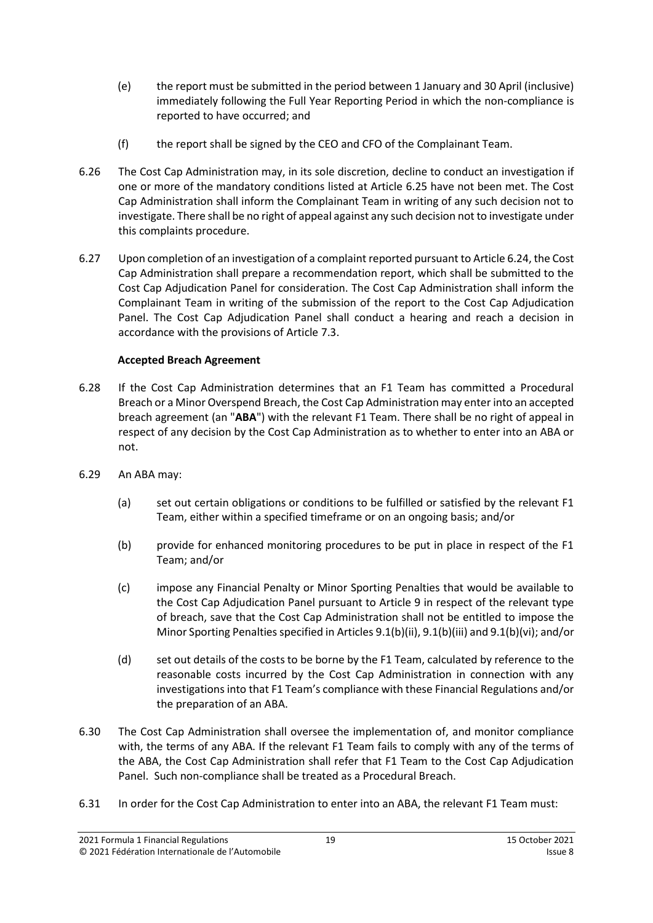- (e) the report must be submitted in the period between 1 January and 30 April (inclusive) immediately following the Full Year Reporting Period in which the non-compliance is reported to have occurred; and
- (f) the report shall be signed by the CEO and CFO of the Complainant Team.
- 6.26 The Cost Cap Administration may, in its sole discretion, decline to conduct an investigation if one or more of the mandatory conditions listed at Article [6.25](#page-17-1) have not been met. The Cost Cap Administration shall inform the Complainant Team in writing of any such decision not to investigate. There shall be no right of appeal against any such decision not to investigate under this complaints procedure.
- 6.27 Upon completion of an investigation of a complaint reported pursuant to Articl[e 6.24,](#page-17-2) the Cost Cap Administration shall prepare a recommendation report, which shall be submitted to the Cost Cap Adjudication Panel for consideration. The Cost Cap Administration shall inform the Complainant Team in writing of the submission of the report to the Cost Cap Adjudication Panel. The Cost Cap Adjudication Panel shall conduct a hearing and reach a decision in accordance with the provisions of Articl[e 7.3.](#page-19-1)

## **Accepted Breach Agreement**

- <span id="page-18-0"></span>6.28 If the Cost Cap Administration determines that an F1 Team has committed a Procedural Breach or a Minor Overspend Breach, the Cost Cap Administration may enter into an accepted breach agreement (an "**ABA**") with the relevant F1 Team. There shall be no right of appeal in respect of any decision by the Cost Cap Administration as to whether to enter into an ABA or not.
- 6.29 An ABA may:
	- (a) set out certain obligations or conditions to be fulfilled or satisfied by the relevant F1 Team, either within a specified timeframe or on an ongoing basis; and/or
	- (b) provide for enhanced monitoring procedures to be put in place in respect of the F1 Team; and/or
	- (c) impose any Financial Penalty or Minor Sporting Penalties that would be available to the Cost Cap Adjudication Panel pursuant to Article [9](#page-25-0) in respect of the relevant type of breach, save that the Cost Cap Administration shall not be entitled to impose the Minor Sporting Penalties specified in Article[s 9.1\(b\)\(ii\),](#page-26-0) [9.1\(b\)\(iii\)](#page-26-1) an[d 9.1\(b\)\(vi\);](#page-26-2) and/or
	- (d) set out details of the costs to be borne by the F1 Team, calculated by reference to the reasonable costs incurred by the Cost Cap Administration in connection with any investigations into that F1 Team's compliance with these Financial Regulations and/or the preparation of an ABA.
- <span id="page-18-1"></span>6.30 The Cost Cap Administration shall oversee the implementation of, and monitor compliance with, the terms of any ABA. If the relevant F1 Team fails to comply with any of the terms of the ABA, the Cost Cap Administration shall refer that F1 Team to the Cost Cap Adjudication Panel. Such non-compliance shall be treated as a Procedural Breach.
- 6.31 In order for the Cost Cap Administration to enter into an ABA, the relevant F1 Team must: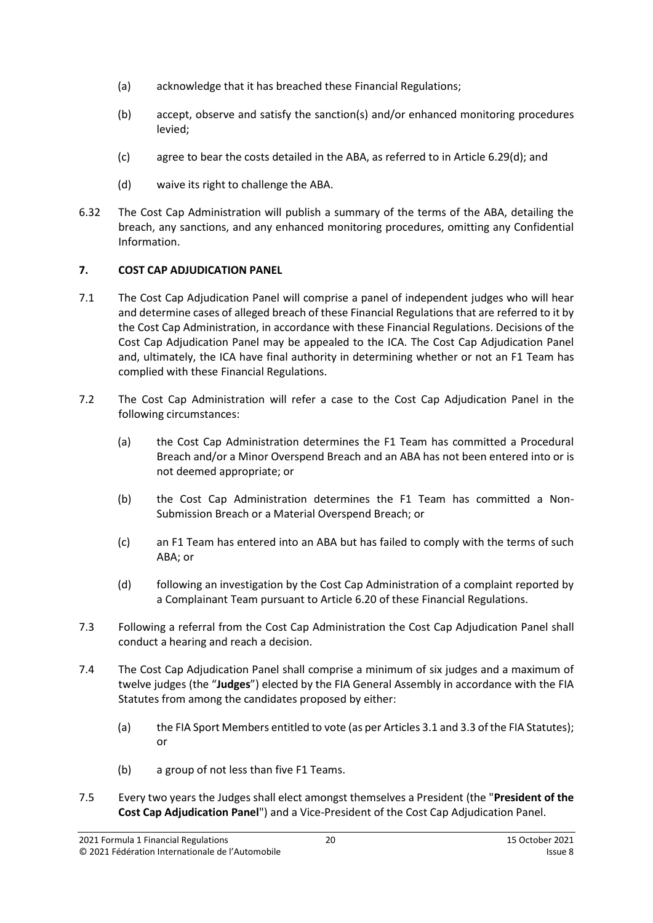- (a) acknowledge that it has breached these Financial Regulations;
- (b) accept, observe and satisfy the sanction(s) and/or enhanced monitoring procedures levied;
- (c) agree to bear the costs detailed in the ABA, as referred to in Article [6.29\(d\);](#page-18-1) and
- (d) waive its right to challenge the ABA.
- 6.32 The Cost Cap Administration will publish a summary of the terms of the ABA, detailing the breach, any sanctions, and any enhanced monitoring procedures, omitting any Confidential Information.

## <span id="page-19-0"></span>**7. COST CAP ADJUDICATION PANEL**

- 7.1 The Cost Cap Adjudication Panel will comprise a panel of independent judges who will hear and determine cases of alleged breach of these Financial Regulations that are referred to it by the Cost Cap Administration, in accordance with these Financial Regulations. Decisions of the Cost Cap Adjudication Panel may be appealed to the ICA. The Cost Cap Adjudication Panel and, ultimately, the ICA have final authority in determining whether or not an F1 Team has complied with these Financial Regulations.
- 7.2 The Cost Cap Administration will refer a case to the Cost Cap Adjudication Panel in the following circumstances:
	- (a) the Cost Cap Administration determines the F1 Team has committed a Procedural Breach and/or a Minor Overspend Breach and an ABA has not been entered into or is not deemed appropriate; or
	- (b) the Cost Cap Administration determines the F1 Team has committed a Non-Submission Breach or a Material Overspend Breach; or
	- (c) an F1 Team has entered into an ABA but has failed to comply with the terms of such ABA; or
	- (d) following an investigation by the Cost Cap Administration of a complaint reported by a Complainant Team pursuant to Article 6.20 of these Financial Regulations.
- <span id="page-19-1"></span>7.3 Following a referral from the Cost Cap Administration the Cost Cap Adjudication Panel shall conduct a hearing and reach a decision.
- <span id="page-19-2"></span>7.4 The Cost Cap Adjudication Panel shall comprise a minimum of six judges and a maximum of twelve judges (the "**Judges**") elected by the FIA General Assembly in accordance with the FIA Statutes from among the candidates proposed by either:
	- (a) the FIA Sport Members entitled to vote (as per Articles 3.1 and 3.3 of the FIA Statutes); or
	- (b) a group of not less than five F1 Teams.
- 7.5 Every two years the Judges shall elect amongst themselves a President (the "**President of the Cost Cap Adjudication Panel**") and a Vice-President of the Cost Cap Adjudication Panel.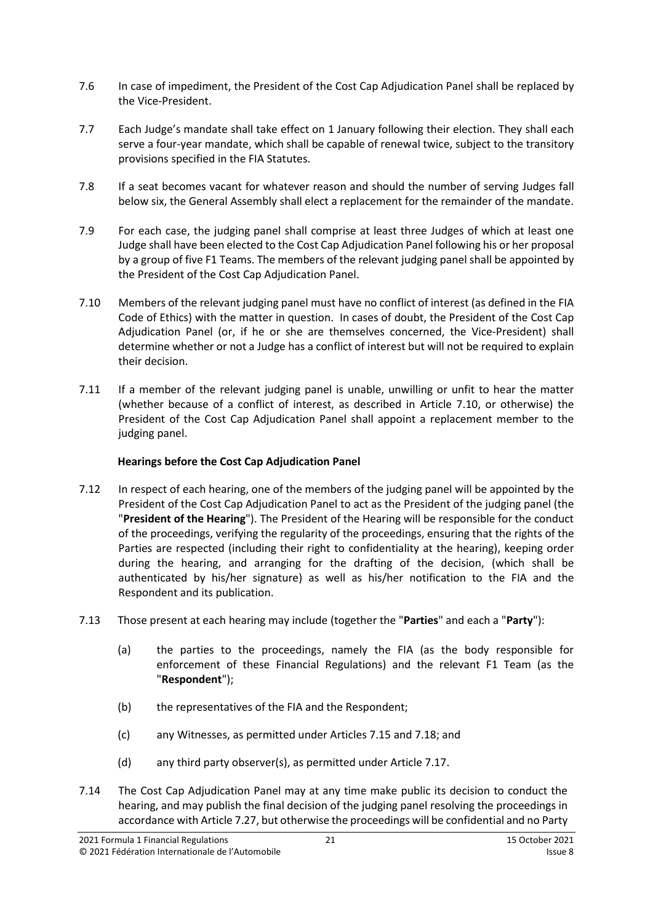- 7.6 In case of impediment, the President of the Cost Cap Adjudication Panel shall be replaced by the Vice-President.
- 7.7 Each Judge's mandate shall take effect on 1 January following their election. They shall each serve a four-year mandate, which shall be capable of renewal twice, subject to the transitory provisions specified in the FIA Statutes.
- 7.8 If a seat becomes vacant for whatever reason and should the number of serving Judges fall below six, the General Assembly shall elect a replacement for the remainder of the mandate.
- 7.9 For each case, the judging panel shall comprise at least three Judges of which at least one Judge shall have been elected to the Cost Cap Adjudication Panel following his or her proposal by a group of five F1 Teams. The members of the relevant judging panel shall be appointed by the President of the Cost Cap Adjudication Panel.
- <span id="page-20-0"></span>7.10 Members of the relevant judging panel must have no conflict of interest (as defined in the FIA Code of Ethics) with the matter in question. In cases of doubt, the President of the Cost Cap Adjudication Panel (or, if he or she are themselves concerned, the Vice‐President) shall determine whether or not a Judge has a conflict of interest but will not be required to explain their decision.
- 7.11 If a member of the relevant judging panel is unable, unwilling or unfit to hear the matter (whether because of a conflict of interest, as described in Article [7.10,](#page-20-0) or otherwise) the President of the Cost Cap Adjudication Panel shall appoint a replacement member to the judging panel.

## **Hearings before the Cost Cap Adjudication Panel**

- <span id="page-20-2"></span>7.12 In respect of each hearing, one of the members of the judging panel will be appointed by the President of the Cost Cap Adjudication Panel to act as the President of the judging panel (the "**President of the Hearing**"). The President of the Hearing will be responsible for the conduct of the proceedings, verifying the regularity of the proceedings, ensuring that the rights of the Parties are respected (including their right to confidentiality at the hearing), keeping order during the hearing, and arranging for the drafting of the decision, (which shall be authenticated by his/her signature) as well as his/her notification to the FIA and the Respondent and its publication.
- <span id="page-20-3"></span><span id="page-20-1"></span>7.13 Those present at each hearing may include (together the "**Parties**" and each a "**Party**"):
	- (a) the parties to the proceedings, namely the FIA (as the body responsible for enforcement of these Financial Regulations) and the relevant F1 Team (as the "**Respondent**");
	- (b) the representatives of the FIA and the Respondent;
	- (c) any Witnesses, as permitted under Articles [7.15](#page-21-0) and [7.18;](#page-21-1) and
	- (d) any third party observer(s), as permitted under Articl[e 7.17.](#page-21-2)
- 7.14 The Cost Cap Adjudication Panel may at any time make public its decision to conduct the hearing, and may publish the final decision of the judging panel resolving the proceedings in accordance with Article [7.27,](#page-22-1) but otherwise the proceedings will be confidential and no Party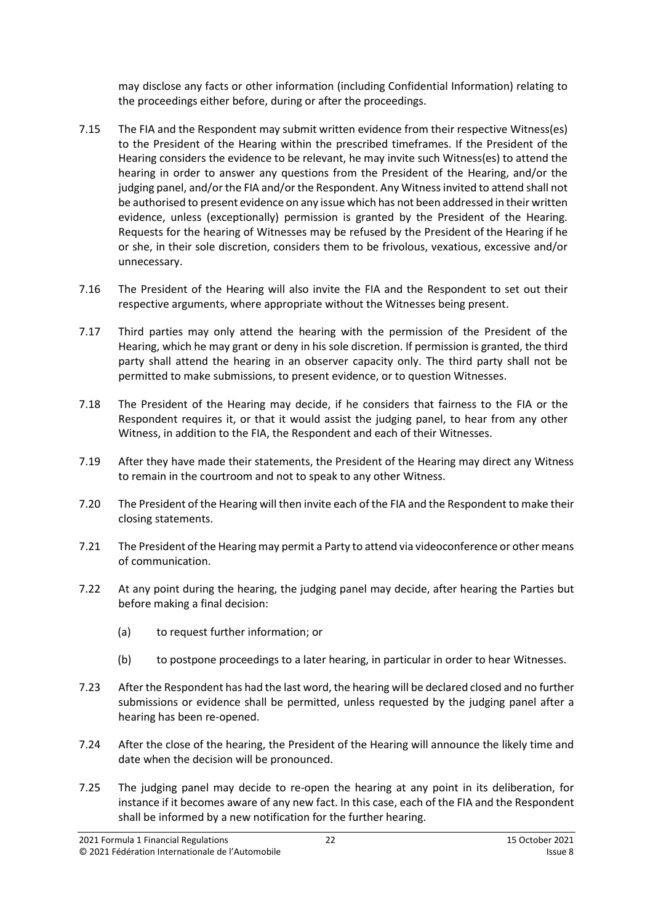may disclose any facts or other information (including Confidential Information) relating to the proceedings either before, during or after the proceedings.

- <span id="page-21-0"></span>7.15 The FIA and the Respondent may submit written evidence from their respective Witness(es) to the President of the Hearing within the prescribed timeframes. If the President of the Hearing considers the evidence to be relevant, he may invite such Witness(es) to attend the hearing in order to answer any questions from the President of the Hearing, and/or the judging panel, and/or the FIA and/or the Respondent. Any Witness invited to attend shall not be authorised to present evidence on any issue which has not been addressed in their written evidence, unless (exceptionally) permission is granted by the President of the Hearing. Requests for the hearing of Witnesses may be refused by the President of the Hearing if he or she, in their sole discretion, considers them to be frivolous, vexatious, excessive and/or unnecessary.
- 7.16 The President of the Hearing will also invite the FIA and the Respondent to set out their respective arguments, where appropriate without the Witnesses being present.
- <span id="page-21-2"></span>7.17 Third parties may only attend the hearing with the permission of the President of the Hearing, which he may grant or deny in his sole discretion. If permission is granted, the third party shall attend the hearing in an observer capacity only. The third party shall not be permitted to make submissions, to present evidence, or to question Witnesses.
- <span id="page-21-1"></span>7.18 The President of the Hearing may decide, if he considers that fairness to the FIA or the Respondent requires it, or that it would assist the judging panel, to hear from any other Witness, in addition to the FIA, the Respondent and each of their Witnesses.
- 7.19 After they have made their statements, the President of the Hearing may direct any Witness to remain in the courtroom and not to speak to any other Witness.
- 7.20 The President of the Hearing will then invite each of the FIA and the Respondent to make their closing statements.
- 7.21 The President of the Hearing may permit a Party to attend via videoconference or other means of communication.
- 7.22 At any point during the hearing, the judging panel may decide, after hearing the Parties but before making a final decision:
	- (a) to request further information; or
	- (b) to postpone proceedings to a later hearing, in particular in order to hear Witnesses.
- 7.23 After the Respondent has had the last word, the hearing will be declared closed and no further submissions or evidence shall be permitted, unless requested by the judging panel after a hearing has been re-opened.
- 7.24 After the close of the hearing, the President of the Hearing will announce the likely time and date when the decision will be pronounced.
- 7.25 The judging panel may decide to re-open the hearing at any point in its deliberation, for instance if it becomes aware of any new fact. In this case, each of the FIA and the Respondent shall be informed by a new notification for the further hearing.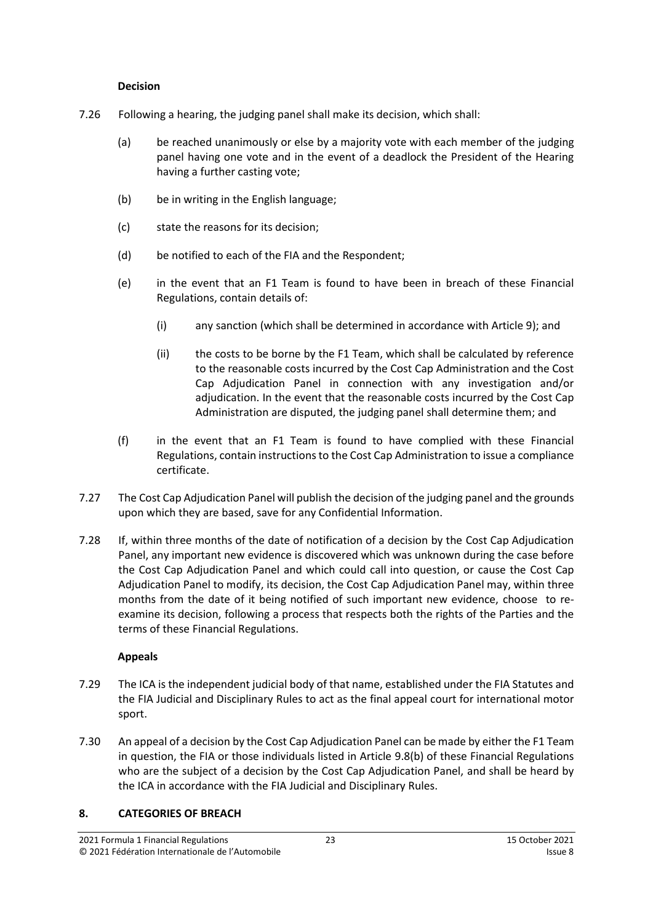#### **Decision**

- 7.26 Following a hearing, the judging panel shall make its decision, which shall:
	- (a) be reached unanimously or else by a majority vote with each member of the judging panel having one vote and in the event of a deadlock the President of the Hearing having a further casting vote;
	- (b) be in writing in the English language;
	- (c) state the reasons for its decision;
	- (d) be notified to each of the FIA and the Respondent;
	- (e) in the event that an F1 Team is found to have been in breach of these Financial Regulations, contain details of:
		- (i) any sanction (which shall be determined in accordance with Article [9\)](#page-25-0); and
		- (ii) the costs to be borne by the F1 Team, which shall be calculated by reference to the reasonable costs incurred by the Cost Cap Administration and the Cost Cap Adjudication Panel in connection with any investigation and/or adjudication. In the event that the reasonable costs incurred by the Cost Cap Administration are disputed, the judging panel shall determine them; and
	- (f) in the event that an F1 Team is found to have complied with these Financial Regulations, contain instructions to the Cost Cap Administration to issue a compliance certificate.
- <span id="page-22-1"></span>7.27 The Cost Cap Adjudication Panel will publish the decision of the judging panel and the grounds upon which they are based, save for any Confidential Information.
- 7.28 If, within three months of the date of notification of a decision by the Cost Cap Adjudication Panel, any important new evidence is discovered which was unknown during the case before the Cost Cap Adjudication Panel and which could call into question, or cause the Cost Cap Adjudication Panel to modify, its decision, the Cost Cap Adjudication Panel may, within three months from the date of it being notified of such important new evidence, choose to reexamine its decision, following a process that respects both the rights of the Parties and the terms of these Financial Regulations.

## **Appeals**

- 7.29 The ICA is the independent judicial body of that name, established under the FIA Statutes and the FIA Judicial and Disciplinary Rules to act as the final appeal court for international motor sport.
- 7.30 An appeal of a decision by the Cost Cap Adjudication Panel can be made by either the F1 Team in question, the FIA or those individuals listed in Article 9.8(b) of these Financial Regulations who are the subject of a decision by the Cost Cap Adjudication Panel, and shall be heard by the ICA in accordance with the FIA Judicial and Disciplinary Rules.

## <span id="page-22-0"></span>**8. CATEGORIES OF BREACH**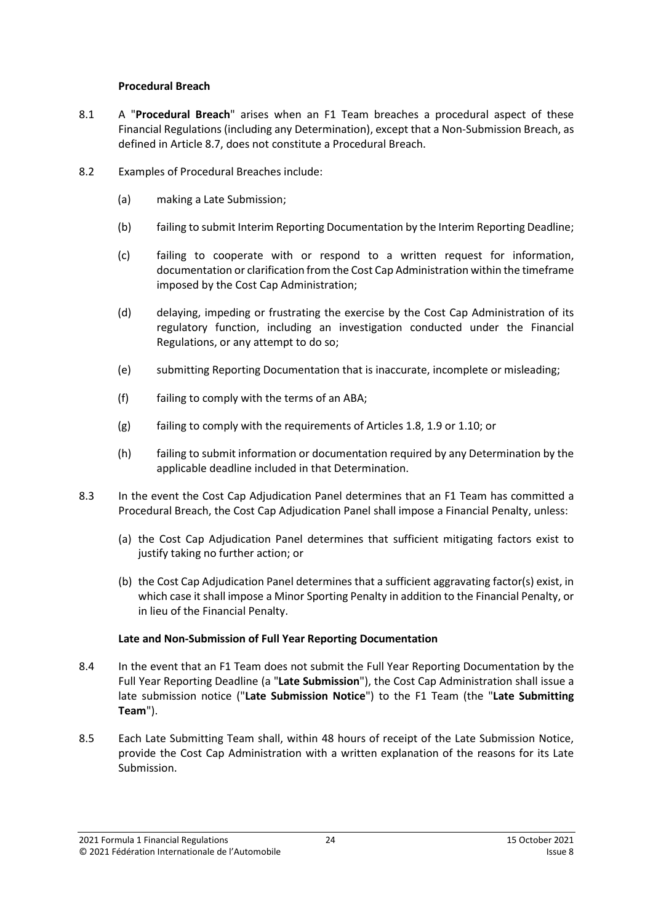#### **Procedural Breach**

- <span id="page-23-2"></span>8.1 A "**Procedural Breach**" arises when an F1 Team breaches a procedural aspect of these Financial Regulations (including any Determination), except that a Non-Submission Breach, as defined in Article [8.7,](#page-24-0) does not constitute a Procedural Breach.
- 8.2 Examples of Procedural Breaches include:
	- (a) making a Late Submission;
	- (b) failing to submit Interim Reporting Documentation by the Interim Reporting Deadline;
	- (c) failing to cooperate with or respond to a written request for information, documentation or clarification from the Cost Cap Administration within the timeframe imposed by the Cost Cap Administration;
	- (d) delaying, impeding or frustrating the exercise by the Cost Cap Administration of its regulatory function, including an investigation conducted under the Financial Regulations, or any attempt to do so;
	- (e) submitting Reporting Documentation that is inaccurate, incomplete or misleading;
	- (f) failing to comply with the terms of an ABA;
	- (g) failing to comply with the requirements of Articles [1.8,](#page-1-1) [1.9](#page-2-1) o[r 1.10;](#page-2-2) or
	- (h) failing to submit information or documentation required by any Determination by the applicable deadline included in that Determination.
- 8.3 In the event the Cost Cap Adjudication Panel determines that an F1 Team has committed a Procedural Breach, the Cost Cap Adjudication Panel shall impose a Financial Penalty, unless:
	- (a) the Cost Cap Adjudication Panel determines that sufficient mitigating factors exist to justify taking no further action; or
	- (b) the Cost Cap Adjudication Panel determines that a sufficient aggravating factor(s) exist, in which case it shall impose a Minor Sporting Penalty in addition to the Financial Penalty, or in lieu of the Financial Penalty.

#### **Late and Non-Submission of Full Year Reporting Documentation**

- <span id="page-23-1"></span>8.4 In the event that an F1 Team does not submit the Full Year Reporting Documentation by the Full Year Reporting Deadline (a "**Late Submission**"), the Cost Cap Administration shall issue a late submission notice ("**Late Submission Notice**") to the F1 Team (the "**Late Submitting Team**").
- <span id="page-23-0"></span>8.5 Each Late Submitting Team shall, within 48 hours of receipt of the Late Submission Notice, provide the Cost Cap Administration with a written explanation of the reasons for its Late Submission.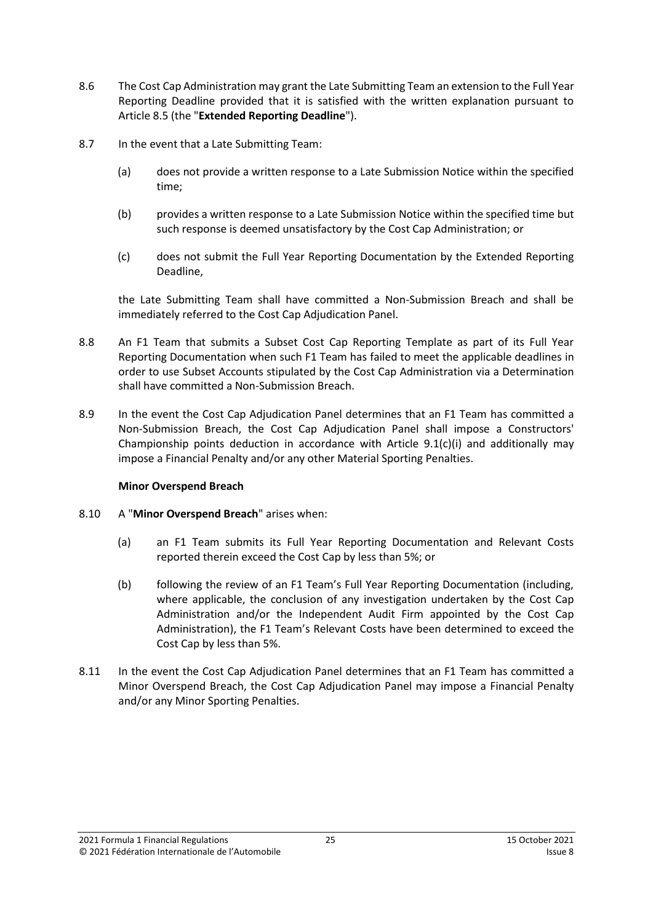- <span id="page-24-1"></span>8.6 The Cost Cap Administration may grant the Late Submitting Team an extension to the Full Year Reporting Deadline provided that it is satisfied with the written explanation pursuant to Articl[e 8.5](#page-23-0) (the "**Extended Reporting Deadline**").
- <span id="page-24-0"></span>8.7 In the event that a Late Submitting Team:
	- (a) does not provide a written response to a Late Submission Notice within the specified time;
	- (b) provides a written response to a Late Submission Notice within the specified time but such response is deemed unsatisfactory by the Cost Cap Administration; or
	- (c) does not submit the Full Year Reporting Documentation by the Extended Reporting Deadline,

the Late Submitting Team shall have committed a Non-Submission Breach and shall be immediately referred to the Cost Cap Adjudication Panel.

- <span id="page-24-3"></span>8.8 An F1 Team that submits a Subset Cost Cap Reporting Template as part of its Full Year Reporting Documentation when such F1 Team has failed to meet the applicable deadlines in order to use Subset Accounts stipulated by the Cost Cap Administration via a Determination shall have committed a Non-Submission Breach.
- 8.9 In the event the Cost Cap Adjudication Panel determines that an F1 Team has committed a Non-Submission Breach, the Cost Cap Adjudication Panel shall impose a Constructors' Championship points deduction in accordance with Article  $9.1(c)(i)$  and additionally may impose a Financial Penalty and/or any other Material Sporting Penalties.

#### **Minor Overspend Breach**

- <span id="page-24-2"></span>8.10 A "**Minor Overspend Breach**" arises when:
	- (a) an F1 Team submits its Full Year Reporting Documentation and Relevant Costs reported therein exceed the Cost Cap by less than 5%; or
	- (b) following the review of an F1 Team's Full Year Reporting Documentation (including, where applicable, the conclusion of any investigation undertaken by the Cost Cap Administration and/or the Independent Audit Firm appointed by the Cost Cap Administration), the F1 Team's Relevant Costs have been determined to exceed the Cost Cap by less than 5%.
- 8.11 In the event the Cost Cap Adjudication Panel determines that an F1 Team has committed a Minor Overspend Breach, the Cost Cap Adjudication Panel may impose a Financial Penalty and/or any Minor Sporting Penalties.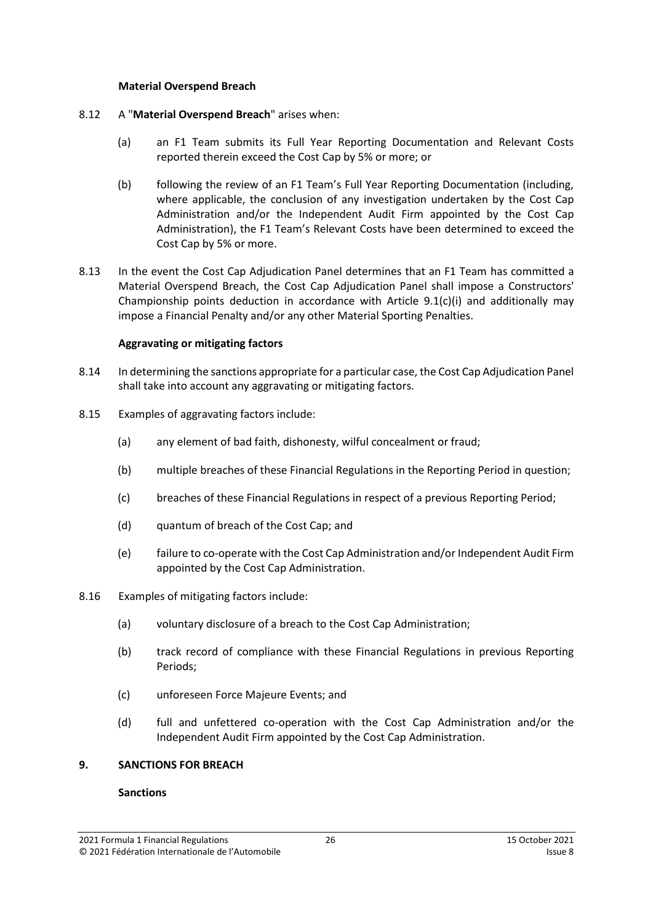#### **Material Overspend Breach**

- <span id="page-25-1"></span>8.12 A "**Material Overspend Breach**" arises when:
	- (a) an F1 Team submits its Full Year Reporting Documentation and Relevant Costs reported therein exceed the Cost Cap by 5% or more; or
	- (b) following the review of an F1 Team's Full Year Reporting Documentation (including, where applicable, the conclusion of any investigation undertaken by the Cost Cap Administration and/or the Independent Audit Firm appointed by the Cost Cap Administration), the F1 Team's Relevant Costs have been determined to exceed the Cost Cap by 5% or more.
- 8.13 In the event the Cost Cap Adjudication Panel determines that an F1 Team has committed a Material Overspend Breach, the Cost Cap Adjudication Panel shall impose a Constructors' Championship points deduction in accordance with Article  $9.1(c)(i)$  and additionally may impose a Financial Penalty and/or any other Material Sporting Penalties.

## **Aggravating or mitigating factors**

- 8.14 In determining the sanctions appropriate for a particular case, the Cost Cap Adjudication Panel shall take into account any aggravating or mitigating factors.
- 8.15 Examples of aggravating factors include:
	- (a) any element of bad faith, dishonesty, wilful concealment or fraud;
	- (b) multiple breaches of these Financial Regulations in the Reporting Period in question;
	- (c) breaches of these Financial Regulations in respect of a previous Reporting Period;
	- (d) quantum of breach of the Cost Cap; and
	- (e) failure to co-operate with the Cost Cap Administration and/or Independent Audit Firm appointed by the Cost Cap Administration.
- 8.16 Examples of mitigating factors include:
	- (a) voluntary disclosure of a breach to the Cost Cap Administration;
	- (b) track record of compliance with these Financial Regulations in previous Reporting Periods;
	- (c) unforeseen Force Majeure Events; and
	- (d) full and unfettered co-operation with the Cost Cap Administration and/or the Independent Audit Firm appointed by the Cost Cap Administration.

#### <span id="page-25-0"></span>**9. SANCTIONS FOR BREACH**

#### **Sanctions**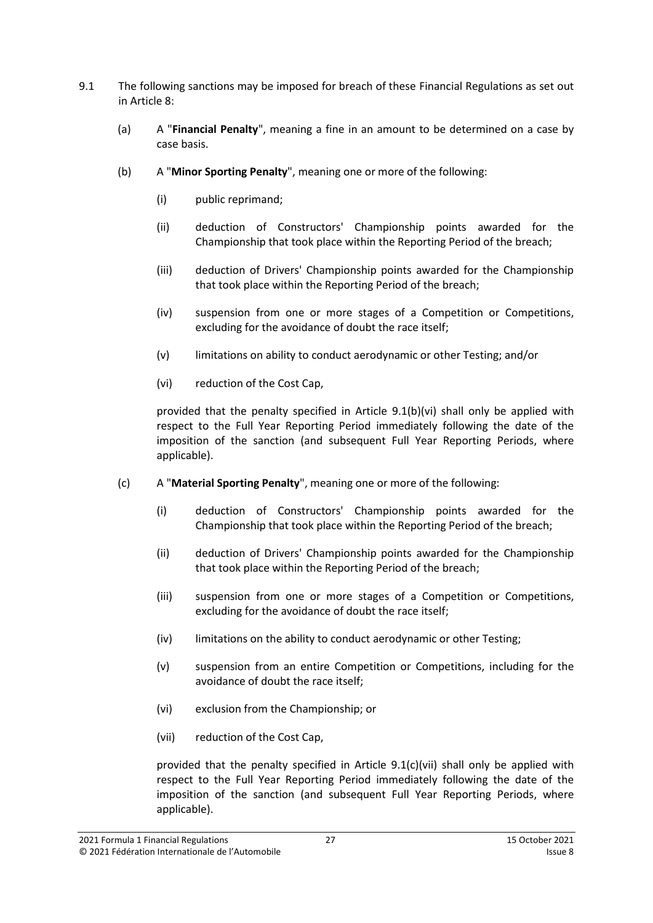- <span id="page-26-7"></span><span id="page-26-6"></span><span id="page-26-5"></span><span id="page-26-0"></span>9.1 The following sanctions may be imposed for breach of these Financial Regulations as set out in Article [8:](#page-22-0)
	- (a) A "**Financial Penalty**", meaning a fine in an amount to be determined on a case by case basis.
	- (b) A "**Minor Sporting Penalty**", meaning one or more of the following:
		- (i) public reprimand;
		- (ii) deduction of Constructors' Championship points awarded for the Championship that took place within the Reporting Period of the breach;
		- (iii) deduction of Drivers' Championship points awarded for the Championship that took place within the Reporting Period of the breach;
		- (iv) suspension from one or more stages of a Competition or Competitions, excluding for the avoidance of doubt the race itself;
		- (v) limitations on ability to conduct aerodynamic or other Testing; and/or
		- (vi) reduction of the Cost Cap,

<span id="page-26-2"></span><span id="page-26-1"></span>provided that the penalty specified in Article [9.1\(b\)\(vi\)](#page-26-2) shall only be applied with respect to the Full Year Reporting Period immediately following the date of the imposition of the sanction (and subsequent Full Year Reporting Periods, where applicable).

- <span id="page-26-4"></span><span id="page-26-3"></span>(c) A "**Material Sporting Penalty**", meaning one or more of the following:
	- (i) deduction of Constructors' Championship points awarded for the Championship that took place within the Reporting Period of the breach;
	- (ii) deduction of Drivers' Championship points awarded for the Championship that took place within the Reporting Period of the breach;
	- (iii) suspension from one or more stages of a Competition or Competitions, excluding for the avoidance of doubt the race itself;
	- (iv) limitations on the ability to conduct aerodynamic or other Testing;
	- (v) suspension from an entire Competition or Competitions, including for the avoidance of doubt the race itself;
	- (vi) exclusion from the Championship; or
	- (vii) reduction of the Cost Cap,

provided that the penalty specified in Article 9.[1\(c\)\(vii\)](#page-26-4) shall only be applied with respect to the Full Year Reporting Period immediately following the date of the imposition of the sanction (and subsequent Full Year Reporting Periods, where applicable).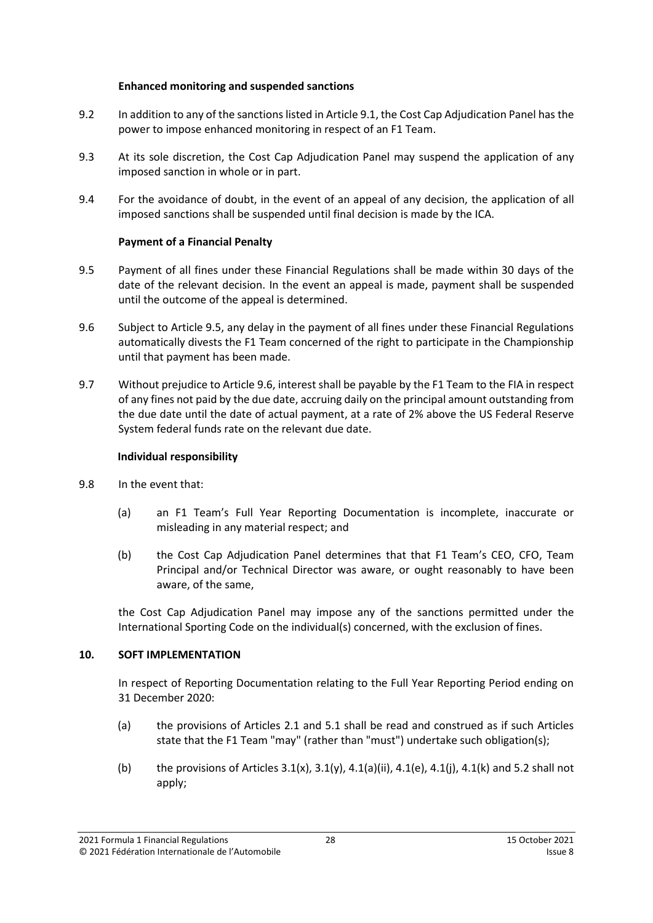#### **Enhanced monitoring and suspended sanctions**

- 9.2 In addition to any of the sanctions listed in Article [9.1,](#page-26-5) the Cost Cap Adjudication Panel has the power to impose enhanced monitoring in respect of an F1 Team.
- 9.3 At its sole discretion, the Cost Cap Adjudication Panel may suspend the application of any imposed sanction in whole or in part.
- 9.4 For the avoidance of doubt, in the event of an appeal of any decision, the application of all imposed sanctions shall be suspended until final decision is made by the ICA.

## **Payment of a Financial Penalty**

- 9.5 Payment of all fines under these Financial Regulations shall be made within 30 days of the date of the relevant decision. In the event an appeal is made, payment shall be suspended until the outcome of the appeal is determined.
- 9.6 Subject to Article 9.5, any delay in the payment of all fines under these Financial Regulations automatically divests the F1 Team concerned of the right to participate in the Championship until that payment has been made.
- 9.7 Without prejudice to Article 9.6, interest shall be payable by the F1 Team to the FIA in respect of any fines not paid by the due date, accruing daily on the principal amount outstanding from the due date until the date of actual payment, at a rate of 2% above the US Federal Reserve System federal funds rate on the relevant due date.

## **Individual responsibility**

- 9.8 In the event that:
	- (a) an F1 Team's Full Year Reporting Documentation is incomplete, inaccurate or misleading in any material respect; and
	- (b) the Cost Cap Adjudication Panel determines that that F1 Team's CEO, CFO, Team Principal and/or Technical Director was aware, or ought reasonably to have been aware, of the same,

the Cost Cap Adjudication Panel may impose any of the sanctions permitted under the International Sporting Code on the individual(s) concerned, with the exclusion of fines.

## <span id="page-27-0"></span>**10. SOFT IMPLEMENTATION**

In respect of Reporting Documentation relating to the Full Year Reporting Period ending on 31 December 2020:

- (a) the provisions of Articles [2.1](#page-2-3) and [5.1](#page-13-2) shall be read and construed as if such Articles state that the F1 Team "may" (rather than "must") undertake such obligation(s);
- (b) the provisions of Articles  $3.1(x)$ ,  $3.1(y)$ ,  $4.1(a)(ii)$ ,  $4.1(e)$ ,  $4.1(i)$ ,  $4.1(k)$  and [5.2](#page-13-3) shall not apply;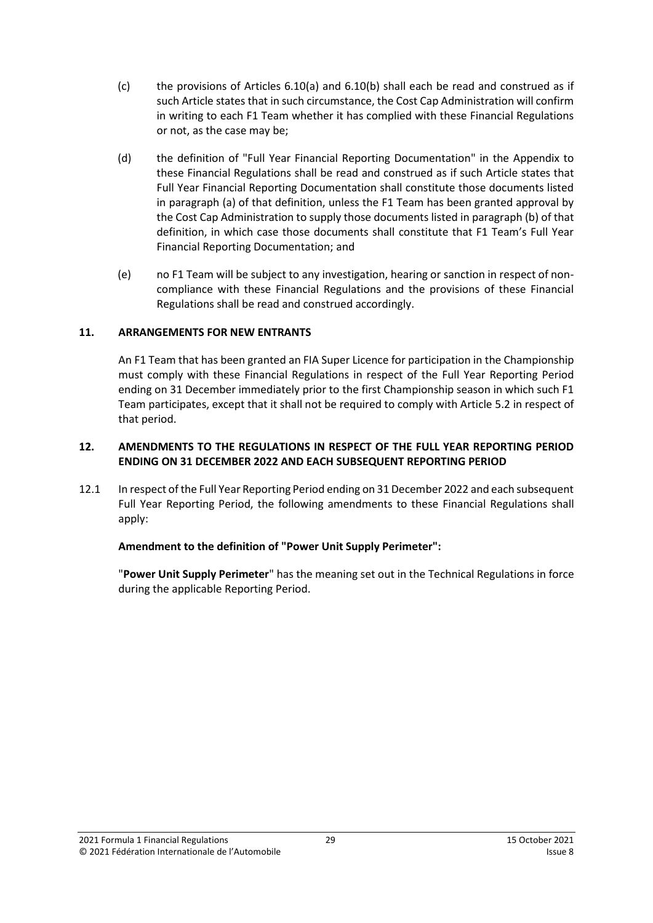- (c) the provisions of Articles [6.10\(a\)](#page-14-0) and [6.10\(b\)](#page-14-1) shall each be read and construed as if such Article states that in such circumstance, the Cost Cap Administration will confirm in writing to each F1 Team whether it has complied with these Financial Regulations or not, as the case may be;
- (d) the definition of "Full Year Financial Reporting Documentation" in the Appendix to these Financial Regulations shall be read and construed as if such Article states that Full Year Financial Reporting Documentation shall constitute those documents listed in paragraph (a) of that definition, unless the F1 Team has been granted approval by the Cost Cap Administration to supply those documents listed in paragraph (b) of that definition, in which case those documents shall constitute that F1 Team's Full Year Financial Reporting Documentation; and
- (e) no F1 Team will be subject to any investigation, hearing or sanction in respect of noncompliance with these Financial Regulations and the provisions of these Financial Regulations shall be read and construed accordingly.

#### <span id="page-28-0"></span>**11. ARRANGEMENTS FOR NEW ENTRANTS**

An F1 Team that has been granted an FIA Super Licence for participation in the Championship must comply with these Financial Regulations in respect of the Full Year Reporting Period ending on 31 December immediately prior to the first Championship season in which such F1 Team participates, except that it shall not be required to comply with Article [5.2](#page-13-3) in respect of that period.

#### <span id="page-28-1"></span>**12. AMENDMENTS TO THE REGULATIONS IN RESPECT OF THE FULL YEAR REPORTING PERIOD ENDING ON 31 DECEMBER 2022 AND EACH SUBSEQUENT REPORTING PERIOD**

12.1 In respect of the Full Year Reporting Period ending on 31 December 2022 and each subsequent Full Year Reporting Period, the following amendments to these Financial Regulations shall apply:

#### **Amendment to the definition of "Power Unit Supply Perimeter":**

"**Power Unit Supply Perimeter**" has the meaning set out in the Technical Regulations in force during the applicable Reporting Period.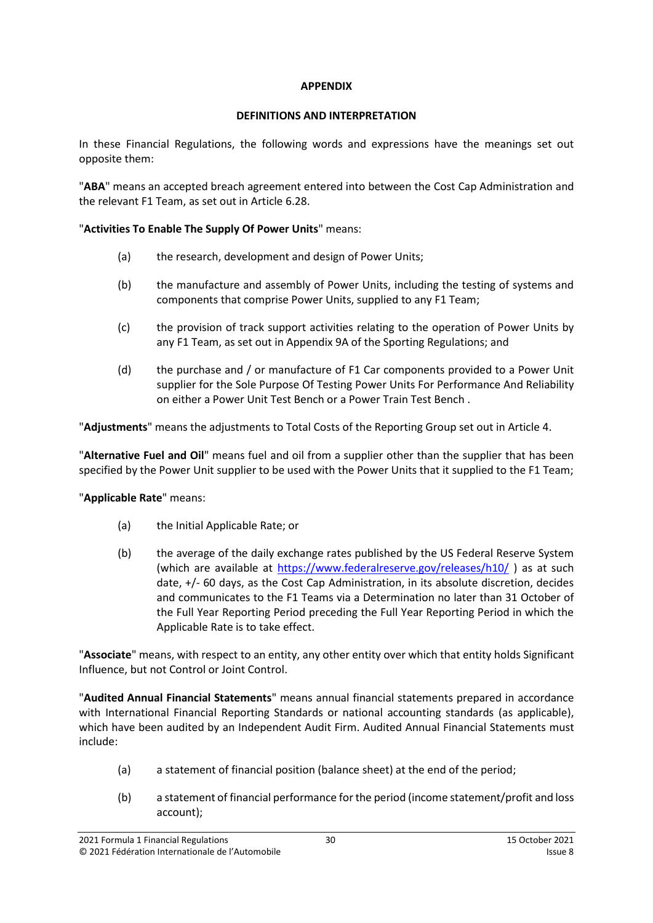#### **APPENDIX**

## **DEFINITIONS AND INTERPRETATION**

<span id="page-29-0"></span>In these Financial Regulations, the following words and expressions have the meanings set out opposite them:

"**ABA**" means an accepted breach agreement entered into between the Cost Cap Administration and the relevant F1 Team, as set out in Article [6.28.](#page-18-0)

## "**Activities To Enable The Supply Of Power Units**" means:

- (a) the research, development and design of Power Units;
- (b) the manufacture and assembly of Power Units, including the testing of systems and components that comprise Power Units, supplied to any F1 Team;
- (c) the provision of track support activities relating to the operation of Power Units by any F1 Team, as set out in Appendix 9A of the Sporting Regulations; and
- (d) the purchase and / or manufacture of F1 Car components provided to a Power Unit supplier for the Sole Purpose Of Testing Power Units For Performance And Reliability on either a Power Unit Test Bench or a Power Train Test Bench .

"**Adjustments**" means the adjustments to Total Costs of the Reporting Group set out in Articl[e 4.](#page-8-0)

"**Alternative Fuel and Oil**" means fuel and oil from a supplier other than the supplier that has been specified by the Power Unit supplier to be used with the Power Units that it supplied to the F1 Team;

## "**Applicable Rate**" means:

- (a) the Initial Applicable Rate; or
- (b) the average of the daily exchange rates published by the US Federal Reserve System (which are available at<https://www.federalreserve.gov/releases/h10/> ) as at such date, +/- 60 days, as the Cost Cap Administration, in its absolute discretion, decides and communicates to the F1 Teams via a Determination no later than 31 October of the Full Year Reporting Period preceding the Full Year Reporting Period in which the Applicable Rate is to take effect.

"**Associate**" means, with respect to an entity, any other entity over which that entity holds Significant Influence, but not Control or Joint Control.

"**Audited Annual Financial Statements**" means annual financial statements prepared in accordance with International Financial Reporting Standards or national accounting standards (as applicable), which have been audited by an Independent Audit Firm. Audited Annual Financial Statements must include:

- (a) a statement of financial position (balance sheet) at the end of the period;
- (b) a statement of financial performance for the period (income statement/profit and loss account);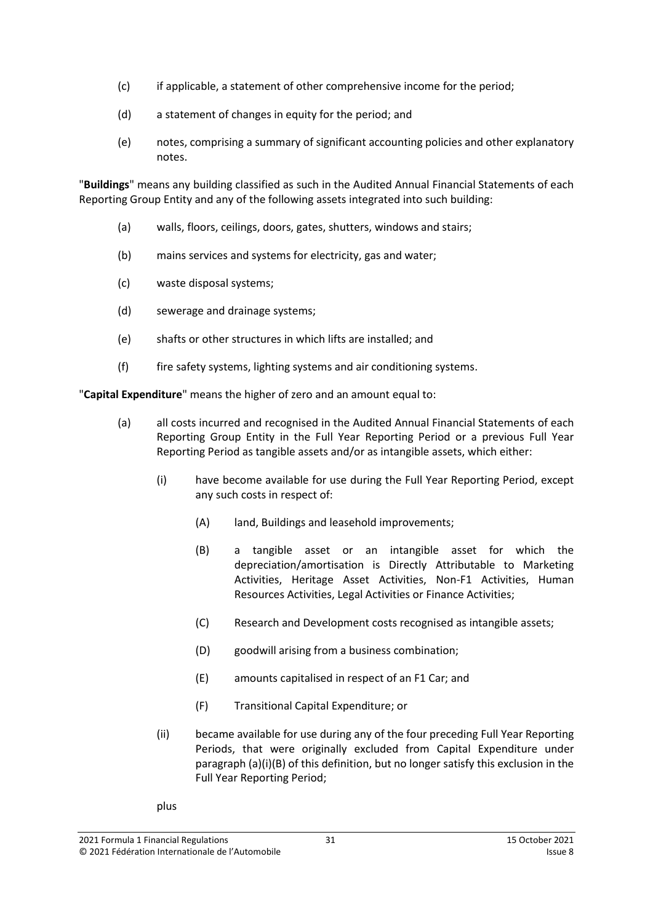- (c) if applicable, a statement of other comprehensive income for the period;
- (d) a statement of changes in equity for the period; and
- (e) notes, comprising a summary of significant accounting policies and other explanatory notes.

"**Buildings**" means any building classified as such in the Audited Annual Financial Statements of each Reporting Group Entity and any of the following assets integrated into such building:

- (a) walls, floors, ceilings, doors, gates, shutters, windows and stairs;
- (b) mains services and systems for electricity, gas and water;
- (c) waste disposal systems;
- (d) sewerage and drainage systems;
- (e) shafts or other structures in which lifts are installed; and
- (f) fire safety systems, lighting systems and air conditioning systems.

"**Capital Expenditure**" means the higher of zero and an amount equal to:

- (a) all costs incurred and recognised in the Audited Annual Financial Statements of each Reporting Group Entity in the Full Year Reporting Period or a previous Full Year Reporting Period as tangible assets and/or as intangible assets, which either:
	- (i) have become available for use during the Full Year Reporting Period, except any such costs in respect of:
		- (A) land, Buildings and leasehold improvements;
		- (B) a tangible asset or an intangible asset for which the depreciation/amortisation is Directly Attributable to Marketing Activities, Heritage Asset Activities, Non-F1 Activities, Human Resources Activities, Legal Activities or Finance Activities;
		- (C) Research and Development costs recognised as intangible assets;
		- (D) goodwill arising from a business combination;
		- (E) amounts capitalised in respect of an F1 Car; and
		- (F) Transitional Capital Expenditure; or
	- (ii) became available for use during any of the four preceding Full Year Reporting Periods, that were originally excluded from Capital Expenditure under paragraph (a)(i)(B) of this definition, but no longer satisfy this exclusion in the Full Year Reporting Period;
	- plus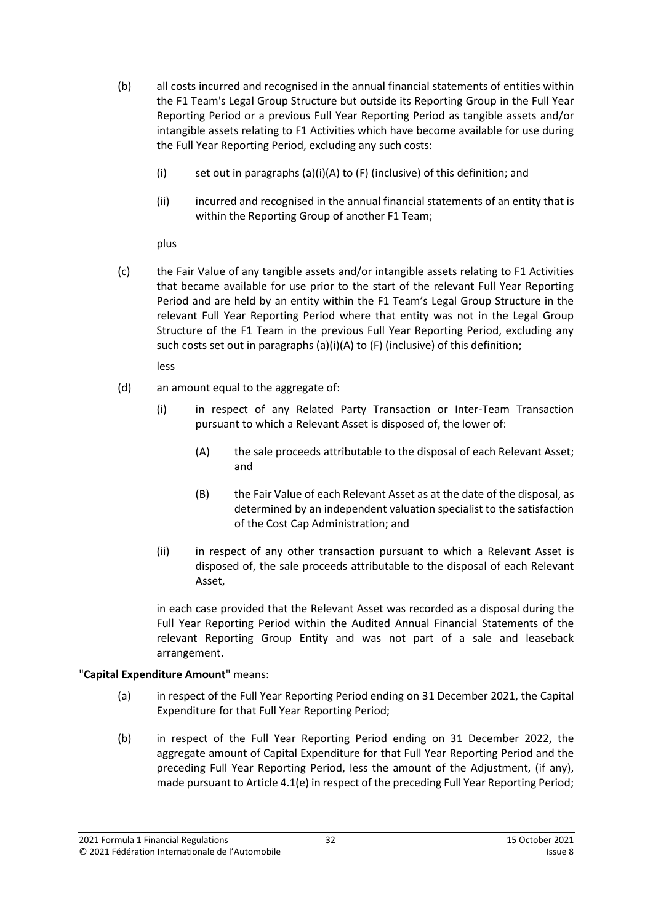- (b) all costs incurred and recognised in the annual financial statements of entities within the F1 Team's Legal Group Structure but outside its Reporting Group in the Full Year Reporting Period or a previous Full Year Reporting Period as tangible assets and/or intangible assets relating to F1 Activities which have become available for use during the Full Year Reporting Period, excluding any such costs:
	- (i) set out in paragraphs (a)(i)(A) to (F) (inclusive) of this definition; and
	- (ii) incurred and recognised in the annual financial statements of an entity that is within the Reporting Group of another F1 Team;

plus

(c) the Fair Value of any tangible assets and/or intangible assets relating to F1 Activities that became available for use prior to the start of the relevant Full Year Reporting Period and are held by an entity within the F1 Team's Legal Group Structure in the relevant Full Year Reporting Period where that entity was not in the Legal Group Structure of the F1 Team in the previous Full Year Reporting Period, excluding any such costs set out in paragraphs (a)(i)(A) to (F) (inclusive) of this definition;

less

- (d) an amount equal to the aggregate of:
	- (i) in respect of any Related Party Transaction or Inter-Team Transaction pursuant to which a Relevant Asset is disposed of, the lower of:
		- (A) the sale proceeds attributable to the disposal of each Relevant Asset; and
		- (B) the Fair Value of each Relevant Asset as at the date of the disposal, as determined by an independent valuation specialist to the satisfaction of the Cost Cap Administration; and
	- (ii) in respect of any other transaction pursuant to which a Relevant Asset is disposed of, the sale proceeds attributable to the disposal of each Relevant Asset,

in each case provided that the Relevant Asset was recorded as a disposal during the Full Year Reporting Period within the Audited Annual Financial Statements of the relevant Reporting Group Entity and was not part of a sale and leaseback arrangement.

## "**Capital Expenditure Amount**" means:

- (a) in respect of the Full Year Reporting Period ending on 31 December 2021, the Capital Expenditure for that Full Year Reporting Period;
- (b) in respect of the Full Year Reporting Period ending on 31 December 2022, the aggregate amount of Capital Expenditure for that Full Year Reporting Period and the preceding Full Year Reporting Period, less the amount of the Adjustment, (if any), made pursuant to Article 4.1(e) in respect of the preceding Full Year Reporting Period;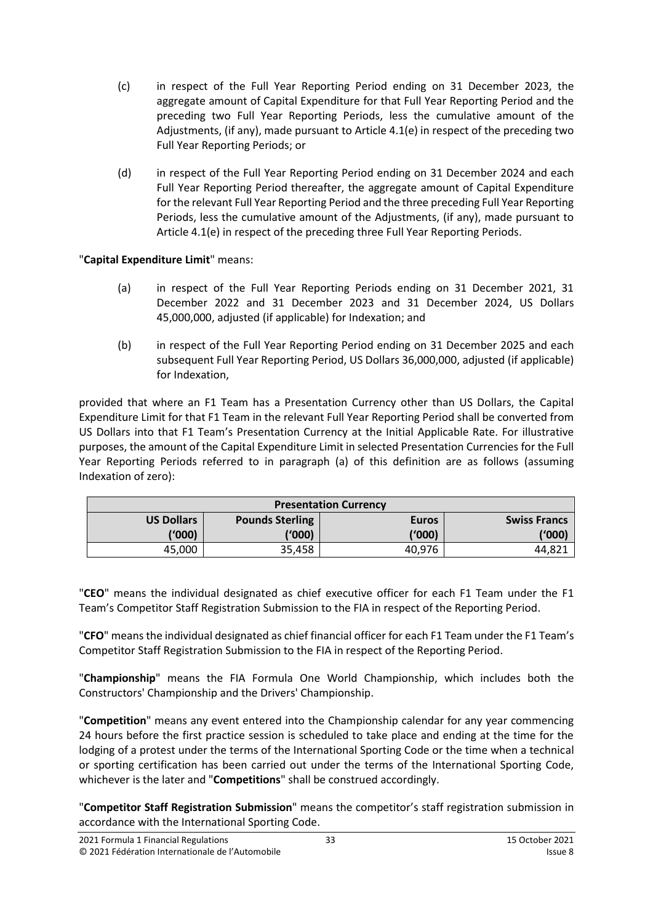- (c) in respect of the Full Year Reporting Period ending on 31 December 2023, the aggregate amount of Capital Expenditure for that Full Year Reporting Period and the preceding two Full Year Reporting Periods, less the cumulative amount of the Adjustments, (if any), made pursuant to Article 4.1(e) in respect of the preceding two Full Year Reporting Periods; or
- (d) in respect of the Full Year Reporting Period ending on 31 December 2024 and each Full Year Reporting Period thereafter, the aggregate amount of Capital Expenditure for the relevant Full Year Reporting Period and the three preceding Full Year Reporting Periods, less the cumulative amount of the Adjustments, (if any), made pursuant to Article 4.1(e) in respect of the preceding three Full Year Reporting Periods.

"**Capital Expenditure Limit**" means:

- (a) in respect of the Full Year Reporting Periods ending on 31 December 2021, 31 December 2022 and 31 December 2023 and 31 December 2024, US Dollars 45,000,000, adjusted (if applicable) for Indexation; and
- (b) in respect of the Full Year Reporting Period ending on 31 December 2025 and each subsequent Full Year Reporting Period, US Dollars 36,000,000, adjusted (if applicable) for Indexation,

provided that where an F1 Team has a Presentation Currency other than US Dollars, the Capital Expenditure Limit for that F1 Team in the relevant Full Year Reporting Period shall be converted from US Dollars into that F1 Team's Presentation Currency at the Initial Applicable Rate. For illustrative purposes, the amount of the Capital Expenditure Limit in selected Presentation Currencies for the Full Year Reporting Periods referred to in paragraph (a) of this definition are as follows (assuming Indexation of zero):

| <b>Presentation Currency</b> |                        |              |                     |  |  |  |
|------------------------------|------------------------|--------------|---------------------|--|--|--|
| <b>US Dollars</b>            | <b>Pounds Sterling</b> | <b>Euros</b> | <b>Swiss Francs</b> |  |  |  |
| (1000)                       | ('000)                 | ('000)       | ('000)              |  |  |  |
| 45,000                       | 35,458                 | 40,976       | 44.82′              |  |  |  |

"**CEO**" means the individual designated as chief executive officer for each F1 Team under the F1 Team's Competitor Staff Registration Submission to the FIA in respect of the Reporting Period.

"**CFO**" meansthe individual designated as chief financial officer for each F1 Team under the F1 Team's Competitor Staff Registration Submission to the FIA in respect of the Reporting Period.

"**Championship**" means the FIA Formula One World Championship, which includes both the Constructors' Championship and the Drivers' Championship.

"**Competition**" means any event entered into the Championship calendar for any year commencing 24 hours before the first practice session is scheduled to take place and ending at the time for the lodging of a protest under the terms of the International Sporting Code or the time when a technical or sporting certification has been carried out under the terms of the International Sporting Code, whichever is the later and "**Competitions**" shall be construed accordingly.

"**Competitor Staff Registration Submission**" means the competitor's staff registration submission in accordance with the International Sporting Code.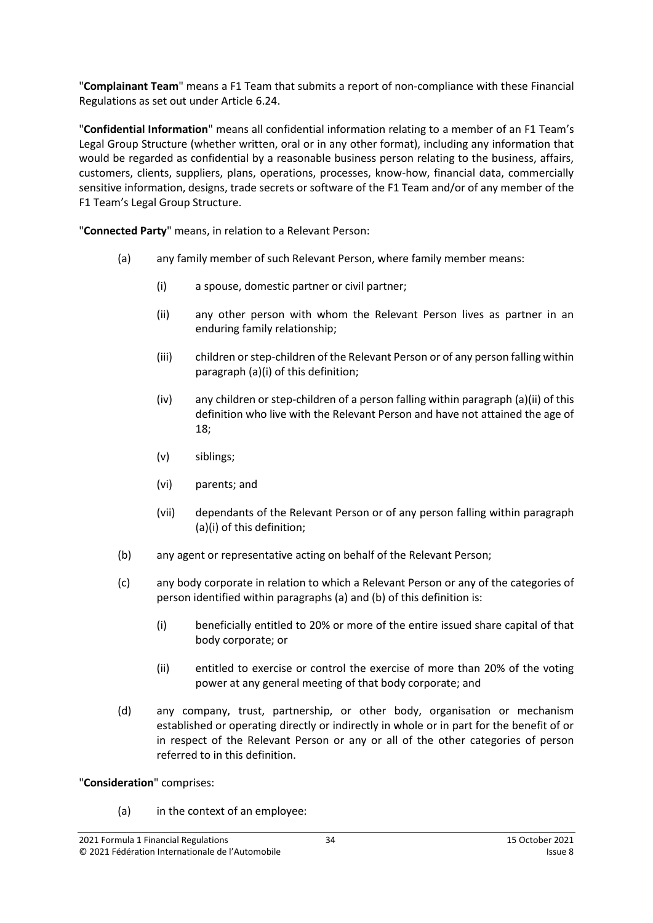"**Complainant Team**" means a F1 Team that submits a report of non-compliance with these Financial Regulations as set out under Article [6.24.](#page-17-2)

"**Confidential Information**" means all confidential information relating to a member of an F1 Team's Legal Group Structure (whether written, oral or in any other format), including any information that would be regarded as confidential by a reasonable business person relating to the business, affairs, customers, clients, suppliers, plans, operations, processes, know-how, financial data, commercially sensitive information, designs, trade secrets or software of the F1 Team and/or of any member of the F1 Team's Legal Group Structure.

<span id="page-33-0"></span>"**Connected Party**" means, in relation to a Relevant Person:

- (a) any family member of such Relevant Person, where family member means:
	- (i) a spouse, domestic partner or civil partner;
	- (ii) any other person with whom the Relevant Person lives as partner in an enduring family relationship;
	- (iii) children or step-children of the Relevant Person or of any person falling within paragraph [\(a\)\(i\)](#page-33-0) of this definition;
	- (iv) any children or step-children of a person falling within paragraph [\(a\)\(ii\)](#page-33-0) of this definition who live with the Relevant Person and have not attained the age of 18;
	- (v) siblings;
	- (vi) parents; and
	- (vii) dependants of the Relevant Person or of any person falling within paragraph [\(a\)\(i\)](#page-33-0) of this definition;
- (b) any agent or representative acting on behalf of the Relevant Person;
- (c) any body corporate in relation to which a Relevant Person or any of the categories of person identified within paragraphs (a) and (b) of this definition is:
	- (i) beneficially entitled to 20% or more of the entire issued share capital of that body corporate; or
	- (ii) entitled to exercise or control the exercise of more than 20% of the voting power at any general meeting of that body corporate; and
- (d) any company, trust, partnership, or other body, organisation or mechanism established or operating directly or indirectly in whole or in part for the benefit of or in respect of the Relevant Person or any or all of the other categories of person referred to in this definition.

"**Consideration**" comprises:

(a) in the context of an employee: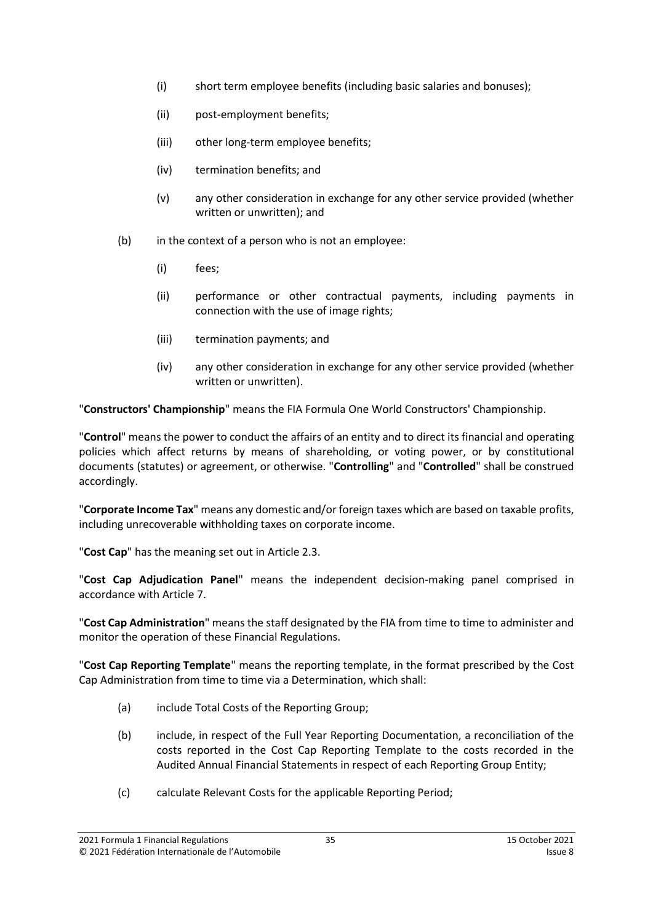- (i) short term employee benefits (including basic salaries and bonuses);
- (ii) post-employment benefits;
- (iii) other long-term employee benefits;
- (iv) termination benefits; and
- (v) any other consideration in exchange for any other service provided (whether written or unwritten); and
- (b) in the context of a person who is not an employee:
	- (i) fees;
	- (ii) performance or other contractual payments, including payments in connection with the use of image rights;
	- (iii) termination payments; and
	- (iv) any other consideration in exchange for any other service provided (whether written or unwritten).

"**Constructors' Championship**" means the FIA Formula One World Constructors' Championship.

"**Control**" means the power to conduct the affairs of an entity and to direct its financial and operating policies which affect returns by means of shareholding, or voting power, or by constitutional documents (statutes) or agreement, or otherwise. "**Controlling**" and "**Controlled**" shall be construed accordingly.

"**Corporate Income Tax**" means any domestic and/or foreign taxes which are based on taxable profits, including unrecoverable withholding taxes on corporate income.

"**Cost Cap**" has the meaning set out in Article [2.3.](#page-2-4)

"**Cost Cap Adjudication Panel**" means the independent decision-making panel comprised in accordance with Articl[e 7.](#page-19-0)

"**Cost Cap Administration**" means the staff designated by the FIA from time to time to administer and monitor the operation of these Financial Regulations.

"**Cost Cap Reporting Template**" means the reporting template, in the format prescribed by the Cost Cap Administration from time to time via a Determination, which shall:

- (a) include Total Costs of the Reporting Group;
- (b) include, in respect of the Full Year Reporting Documentation, a reconciliation of the costs reported in the Cost Cap Reporting Template to the costs recorded in the Audited Annual Financial Statements in respect of each Reporting Group Entity;
- (c) calculate Relevant Costs for the applicable Reporting Period;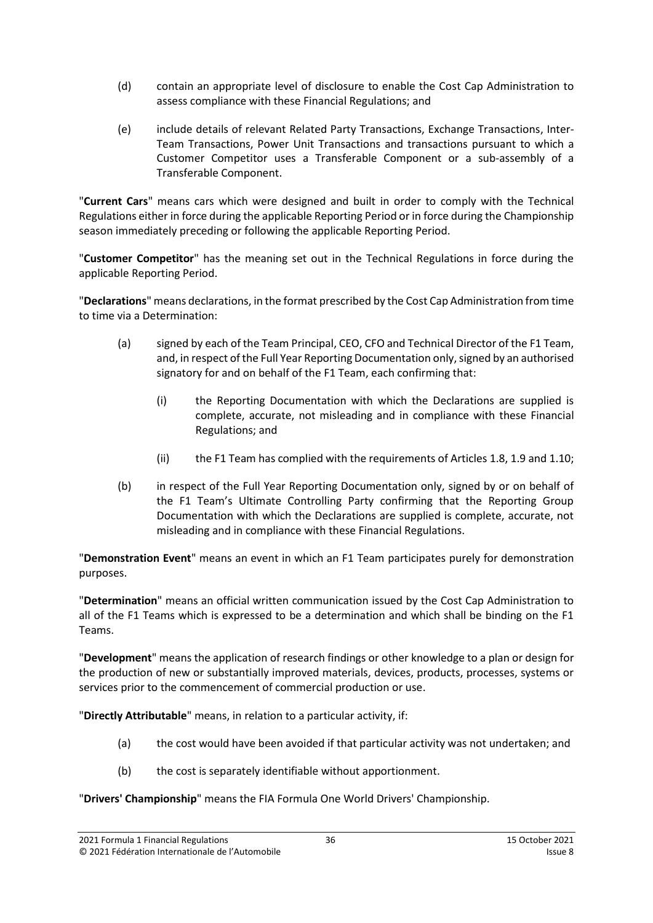- (d) contain an appropriate level of disclosure to enable the Cost Cap Administration to assess compliance with these Financial Regulations; and
- (e) include details of relevant Related Party Transactions, Exchange Transactions, Inter-Team Transactions, Power Unit Transactions and transactions pursuant to which a Customer Competitor uses a Transferable Component or a sub-assembly of a Transferable Component.

"**Current Cars**" means cars which were designed and built in order to comply with the Technical Regulations either in force during the applicable Reporting Period or in force during the Championship season immediately preceding or following the applicable Reporting Period.

"**Customer Competitor**" has the meaning set out in the Technical Regulations in force during the applicable Reporting Period.

"**Declarations**" means declarations, in the format prescribed by the Cost Cap Administration from time to time via a Determination:

- (a) signed by each of the Team Principal, CEO, CFO and Technical Director of the F1 Team, and, in respect of the Full Year Reporting Documentation only, signed by an authorised signatory for and on behalf of the F1 Team, each confirming that:
	- (i) the Reporting Documentation with which the Declarations are supplied is complete, accurate, not misleading and in compliance with these Financial Regulations; and
	- (ii) the F1 Team has complied with the requirements of Article[s 1.8,](#page-1-1) [1.9](#page-2-1) and [1.10;](#page-2-2)
- (b) in respect of the Full Year Reporting Documentation only, signed by or on behalf of the F1 Team's Ultimate Controlling Party confirming that the Reporting Group Documentation with which the Declarations are supplied is complete, accurate, not misleading and in compliance with these Financial Regulations.

"**Demonstration Event**" means an event in which an F1 Team participates purely for demonstration purposes.

"**Determination**" means an official written communication issued by the Cost Cap Administration to all of the F1 Teams which is expressed to be a determination and which shall be binding on the F1 Teams.

"**Development**" means the application of research findings or other knowledge to a plan or design for the production of new or substantially improved materials, devices, products, processes, systems or services prior to the commencement of commercial production or use.

"**Directly Attributable**" means, in relation to a particular activity, if:

- (a) the cost would have been avoided if that particular activity was not undertaken; and
- (b) the cost is separately identifiable without apportionment.

"**Drivers' Championship**" means the FIA Formula One World Drivers' Championship.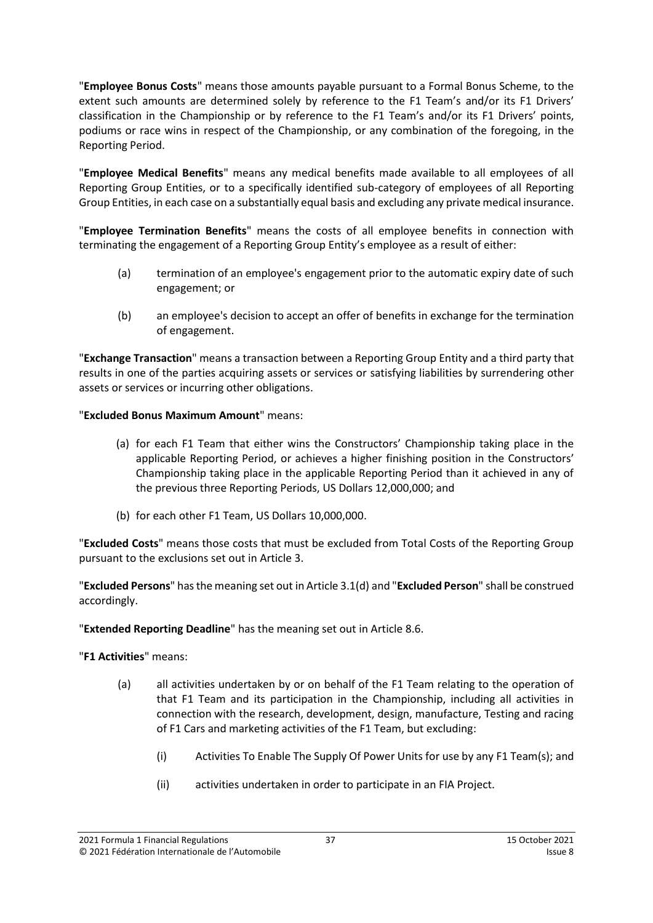"**Employee Bonus Costs**" means those amounts payable pursuant to a Formal Bonus Scheme, to the extent such amounts are determined solely by reference to the F1 Team's and/or its F1 Drivers' classification in the Championship or by reference to the F1 Team's and/or its F1 Drivers' points, podiums or race wins in respect of the Championship, or any combination of the foregoing, in the Reporting Period.

"**Employee Medical Benefits**" means any medical benefits made available to all employees of all Reporting Group Entities, or to a specifically identified sub-category of employees of all Reporting Group Entities, in each case on a substantially equal basis and excluding any private medical insurance.

"**Employee Termination Benefits**" means the costs of all employee benefits in connection with terminating the engagement of a Reporting Group Entity's employee as a result of either:

- (a) termination of an employee's engagement prior to the automatic expiry date of such engagement; or
- (b) an employee's decision to accept an offer of benefits in exchange for the termination of engagement.

"**Exchange Transaction**" means a transaction between a Reporting Group Entity and a third party that results in one of the parties acquiring assets or services or satisfying liabilities by surrendering other assets or services or incurring other obligations.

"**Excluded Bonus Maximum Amount**" means:

- (a) for each F1 Team that either wins the Constructors' Championship taking place in the applicable Reporting Period, or achieves a higher finishing position in the Constructors' Championship taking place in the applicable Reporting Period than it achieved in any of the previous three Reporting Periods, US Dollars 12,000,000; and
- (b) for each other F1 Team, US Dollars 10,000,000.

"**Excluded Costs**" means those costs that must be excluded from Total Costs of the Reporting Group pursuant to the exclusions set out in Articl[e 3.](#page-5-0)

"**Excluded Persons**" hasthe meaning set out in Article [3.1\(d\)](#page-5-4) and "**Excluded Person**" shall be construed accordingly.

"**Extended Reporting Deadline**" has the meaning set out in Articl[e 8.6.](#page-24-1)

"**F1 Activities**" means:

- (a) all activities undertaken by or on behalf of the F1 Team relating to the operation of that F1 Team and its participation in the Championship, including all activities in connection with the research, development, design, manufacture, Testing and racing of F1 Cars and marketing activities of the F1 Team, but excluding:
	- (i) Activities To Enable The Supply Of Power Units for use by any F1 Team(s); and
	- (ii) activities undertaken in order to participate in an FIA Project.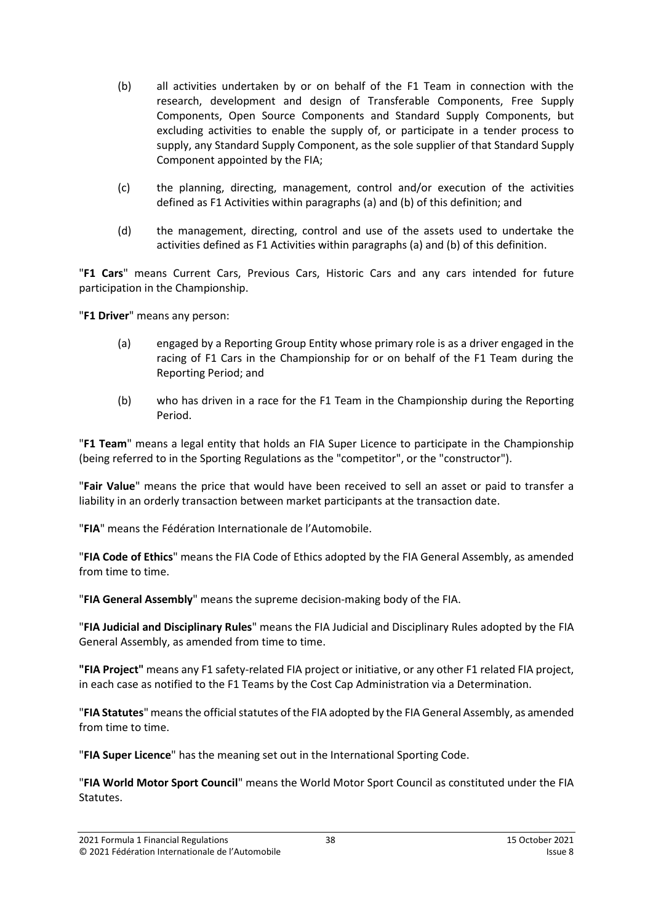- (b) all activities undertaken by or on behalf of the F1 Team in connection with the research, development and design of Transferable Components, Free Supply Components, Open Source Components and Standard Supply Components, but excluding activities to enable the supply of, or participate in a tender process to supply, any Standard Supply Component, as the sole supplier of that Standard Supply Component appointed by the FIA;
- (c) the planning, directing, management, control and/or execution of the activities defined as F1 Activities within paragraphs (a) and (b) of this definition; and
- (d) the management, directing, control and use of the assets used to undertake the activities defined as F1 Activities within paragraphs (a) and (b) of this definition.

"**F1 Cars**" means Current Cars, Previous Cars, Historic Cars and any cars intended for future participation in the Championship.

"**F1 Driver**" means any person:

- (a) engaged by a Reporting Group Entity whose primary role is as a driver engaged in the racing of F1 Cars in the Championship for or on behalf of the F1 Team during the Reporting Period; and
- (b) who has driven in a race for the F1 Team in the Championship during the Reporting Period.

"**F1 Team**" means a legal entity that holds an FIA Super Licence to participate in the Championship (being referred to in the Sporting Regulations as the "competitor", or the "constructor").

"**Fair Value**" means the price that would have been received to sell an asset or paid to transfer a liability in an orderly transaction between market participants at the transaction date.

"**FIA**" means the Fédération Internationale de l'Automobile.

"**FIA Code of Ethics**" means the FIA Code of Ethics adopted by the FIA General Assembly, as amended from time to time.

"**FIA General Assembly**" means the supreme decision-making body of the FIA.

"**FIA Judicial and Disciplinary Rules**" means the FIA Judicial and Disciplinary Rules adopted by the FIA General Assembly, as amended from time to time.

**"FIA Project"** means any F1 safety-related FIA project or initiative, or any other F1 related FIA project, in each case as notified to the F1 Teams by the Cost Cap Administration via a Determination.

"**FIA Statutes**" means the official statutes of the FIA adopted by the FIA General Assembly, as amended from time to time.

"**FIA Super Licence**" has the meaning set out in the International Sporting Code.

"**FIA World Motor Sport Council**" means the World Motor Sport Council as constituted under the FIA Statutes.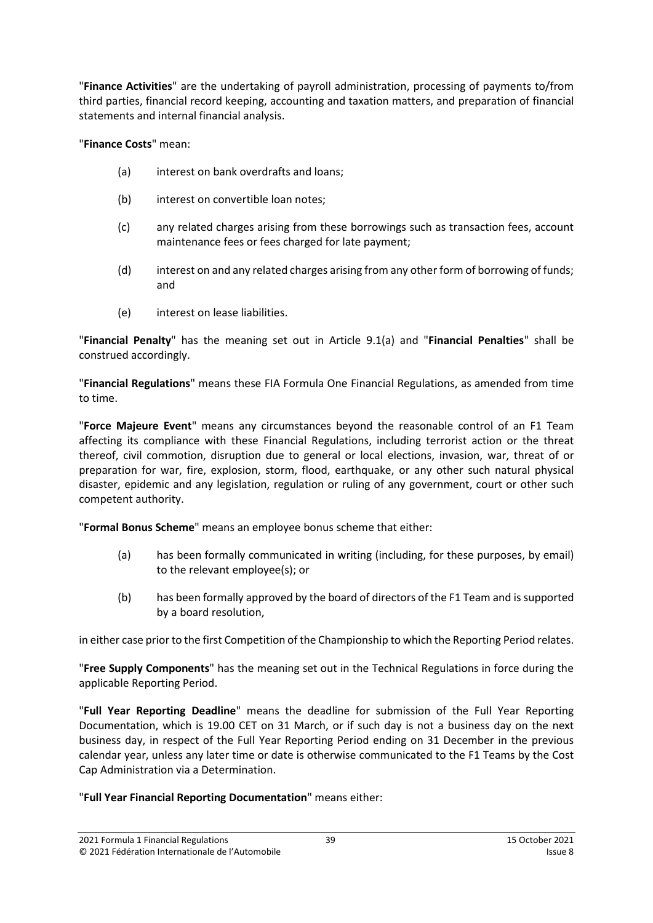"**Finance Activities**" are the undertaking of payroll administration, processing of payments to/from third parties, financial record keeping, accounting and taxation matters, and preparation of financial statements and internal financial analysis.

"**Finance Costs**" mean:

- (a) interest on bank overdrafts and loans;
- (b) interest on convertible loan notes:
- (c) any related charges arising from these borrowings such as transaction fees, account maintenance fees or fees charged for late payment;
- (d) interest on and any related charges arising from any other form of borrowing of funds; and
- (e) interest on lease liabilities.

"**Financial Penalty**" has the meaning set out in Article [9.1\(a\)](#page-26-6) and "**Financial Penalties**" shall be construed accordingly.

"**Financial Regulations**" means these FIA Formula One Financial Regulations, as amended from time to time.

"**Force Majeure Event**" means any circumstances beyond the reasonable control of an F1 Team affecting its compliance with these Financial Regulations, including terrorist action or the threat thereof, civil commotion, disruption due to general or local elections, invasion, war, threat of or preparation for war, fire, explosion, storm, flood, earthquake, or any other such natural physical disaster, epidemic and any legislation, regulation or ruling of any government, court or other such competent authority.

"**Formal Bonus Scheme**" means an employee bonus scheme that either:

- (a) has been formally communicated in writing (including, for these purposes, by email) to the relevant employee(s); or
- (b) has been formally approved by the board of directors of the F1 Team and is supported by a board resolution,

in either case prior to the first Competition of the Championship to which the Reporting Period relates.

"**Free Supply Components**" has the meaning set out in the Technical Regulations in force during the applicable Reporting Period.

"**Full Year Reporting Deadline**" means the deadline for submission of the Full Year Reporting Documentation, which is 19.00 CET on 31 March, or if such day is not a business day on the next business day, in respect of the Full Year Reporting Period ending on 31 December in the previous calendar year, unless any later time or date is otherwise communicated to the F1 Teams by the Cost Cap Administration via a Determination.

## "**Full Year Financial Reporting Documentation**" means either: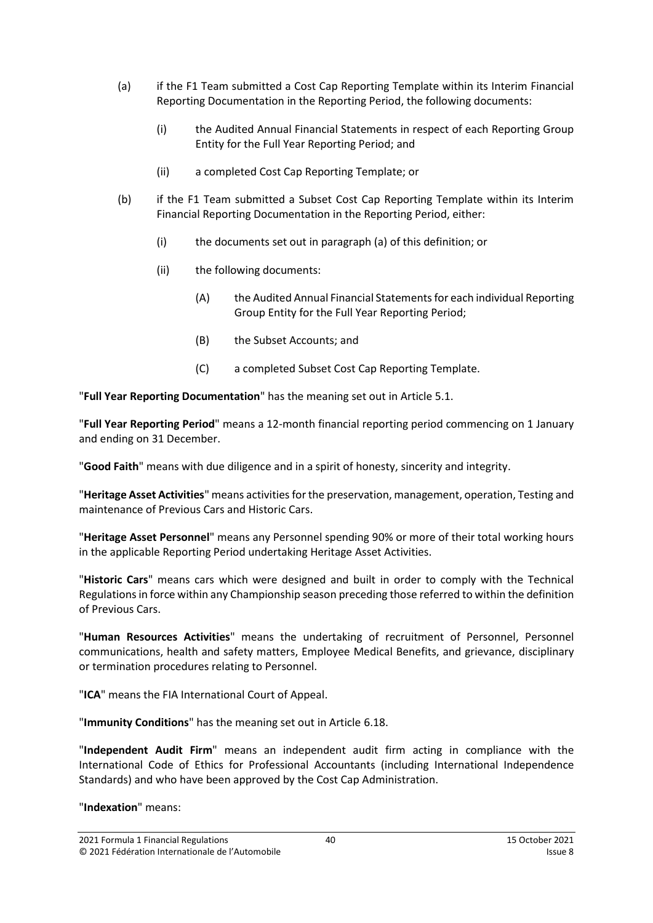- (a) if the F1 Team submitted a Cost Cap Reporting Template within its Interim Financial Reporting Documentation in the Reporting Period, the following documents:
	- (i) the Audited Annual Financial Statements in respect of each Reporting Group Entity for the Full Year Reporting Period; and
	- (ii) a completed Cost Cap Reporting Template; or
- (b) if the F1 Team submitted a Subset Cost Cap Reporting Template within its Interim Financial Reporting Documentation in the Reporting Period, either:
	- (i) the documents set out in paragraph (a) of this definition; or
	- (ii) the following documents:
		- (A) the Audited Annual Financial Statements for each individual Reporting Group Entity for the Full Year Reporting Period;
		- (B) the Subset Accounts; and
		- (C) a completed Subset Cost Cap Reporting Template.

"**Full Year Reporting Documentation**" has the meaning set out in Articl[e 5.1.](#page-13-2)

"**Full Year Reporting Period**" means a 12-month financial reporting period commencing on 1 January and ending on 31 December.

"**Good Faith**" means with due diligence and in a spirit of honesty, sincerity and integrity.

"**Heritage Asset Activities**" means activities forthe preservation, management, operation, Testing and maintenance of Previous Cars and Historic Cars.

"**Heritage Asset Personnel**" means any Personnel spending 90% or more of their total working hours in the applicable Reporting Period undertaking Heritage Asset Activities.

"**Historic Cars**" means cars which were designed and built in order to comply with the Technical Regulationsin force within any Championship season preceding those referred to within the definition of Previous Cars.

"**Human Resources Activities**" means the undertaking of recruitment of Personnel, Personnel communications, health and safety matters, Employee Medical Benefits, and grievance, disciplinary or termination procedures relating to Personnel.

"**ICA**" means the FIA International Court of Appeal.

"**Immunity Conditions**" has the meaning set out in Articl[e 6.18.](#page-16-0)

"**Independent Audit Firm**" means an independent audit firm acting in compliance with the International Code of Ethics for Professional Accountants (including International Independence Standards) and who have been approved by the Cost Cap Administration.

"**Indexation**" means: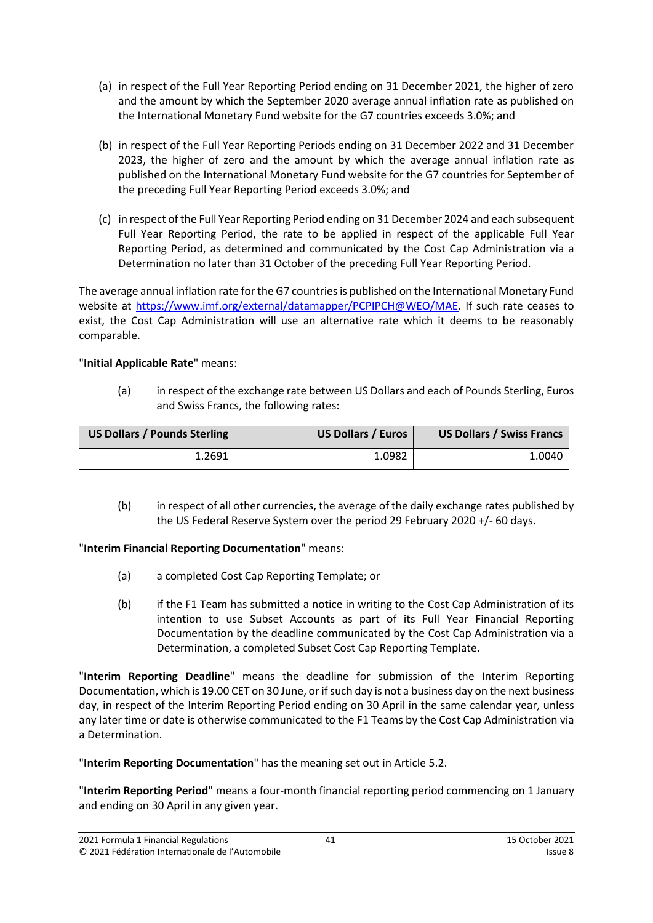- (a) in respect of the Full Year Reporting Period ending on 31 December 2021, the higher of zero and the amount by which the September 2020 average annual inflation rate as published on the International Monetary Fund website for the G7 countries exceeds 3.0%; and
- (b) in respect of the Full Year Reporting Periods ending on 31 December 2022 and 31 December 2023, the higher of zero and the amount by which the average annual inflation rate as published on the International Monetary Fund website for the G7 countries for September of the preceding Full Year Reporting Period exceeds 3.0%; and
- (c) in respect of the Full Year Reporting Period ending on 31 December 2024 and each subsequent Full Year Reporting Period, the rate to be applied in respect of the applicable Full Year Reporting Period, as determined and communicated by the Cost Cap Administration via a Determination no later than 31 October of the preceding Full Year Reporting Period.

The average annual inflation rate for the G7 countries is published on the International Monetary Fund website at [https://www.imf.org/external/datamapper/PCPIPCH@WEO/MAE.](https://www.imf.org/external/datamapper/PCPIPCH@WEO/MAE) If such rate ceases to exist, the Cost Cap Administration will use an alternative rate which it deems to be reasonably comparable.

## "**Initial Applicable Rate**" means:

(a) in respect of the exchange rate between US Dollars and each of Pounds Sterling, Euros and Swiss Francs, the following rates:

| US Dollars / Pounds Sterling | <b>US Dollars / Euros</b> | <b>US Dollars / Swiss Francs</b> |
|------------------------------|---------------------------|----------------------------------|
| 1.2691                       | 1.0982                    | 1.0040                           |

(b) in respect of all other currencies, the average of the daily exchange rates published by the US Federal Reserve System over the period 29 February 2020 +/- 60 days.

## "**Interim Financial Reporting Documentation**" means:

- (a) a completed Cost Cap Reporting Template; or
- (b) if the F1 Team has submitted a notice in writing to the Cost Cap Administration of its intention to use Subset Accounts as part of its Full Year Financial Reporting Documentation by the deadline communicated by the Cost Cap Administration via a Determination, a completed Subset Cost Cap Reporting Template.

"**Interim Reporting Deadline**" means the deadline for submission of the Interim Reporting Documentation, which is 19.00 CET on 30 June, or if such day is not a business day on the next business day, in respect of the Interim Reporting Period ending on 30 April in the same calendar year, unless any later time or date is otherwise communicated to the F1 Teams by the Cost Cap Administration via a Determination.

"**Interim Reporting Documentation**" has the meaning set out in Article [5.2.](#page-13-3)

"**Interim Reporting Period**" means a four-month financial reporting period commencing on 1 January and ending on 30 April in any given year.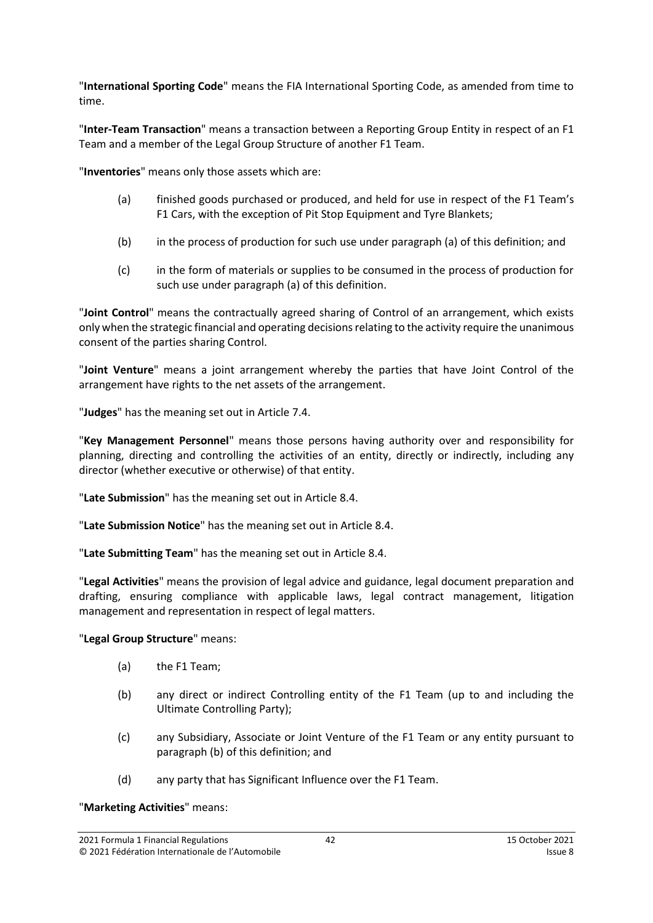"**International Sporting Code**" means the FIA International Sporting Code, as amended from time to time.

"**Inter-Team Transaction**" means a transaction between a Reporting Group Entity in respect of an F1 Team and a member of the Legal Group Structure of another F1 Team.

"**Inventories**" means only those assets which are:

- (a) finished goods purchased or produced, and held for use in respect of the F1 Team's F1 Cars, with the exception of Pit Stop Equipment and Tyre Blankets;
- (b) in the process of production for such use under paragraph (a) of this definition; and
- (c) in the form of materials or supplies to be consumed in the process of production for such use under paragraph (a) of this definition.

"**Joint Control**" means the contractually agreed sharing of Control of an arrangement, which exists only when the strategic financial and operating decisions relating to the activity require the unanimous consent of the parties sharing Control.

"**Joint Venture**" means a joint arrangement whereby the parties that have Joint Control of the arrangement have rights to the net assets of the arrangement.

"**Judges**" has the meaning set out in Article [7.4.](#page-19-2)

"**Key Management Personnel**" means those persons having authority over and responsibility for planning, directing and controlling the activities of an entity, directly or indirectly, including any director (whether executive or otherwise) of that entity.

"**Late Submission**" has the meaning set out in Article [8.4.](#page-23-1)

"**Late Submission Notice**" has the meaning set out in Article [8.4.](#page-23-1)

"**Late Submitting Team**" has the meaning set out in Article [8.4.](#page-23-1)

"**Legal Activities**" means the provision of legal advice and guidance, legal document preparation and drafting, ensuring compliance with applicable laws, legal contract management, litigation management and representation in respect of legal matters.

## "**Legal Group Structure**" means:

- (a) the F1 Team;
- (b) any direct or indirect Controlling entity of the F1 Team (up to and including the Ultimate Controlling Party);
- (c) any Subsidiary, Associate or Joint Venture of the F1 Team or any entity pursuant to paragraph (b) of this definition; and
- (d) any party that has Significant Influence over the F1 Team.

#### "**Marketing Activities**" means: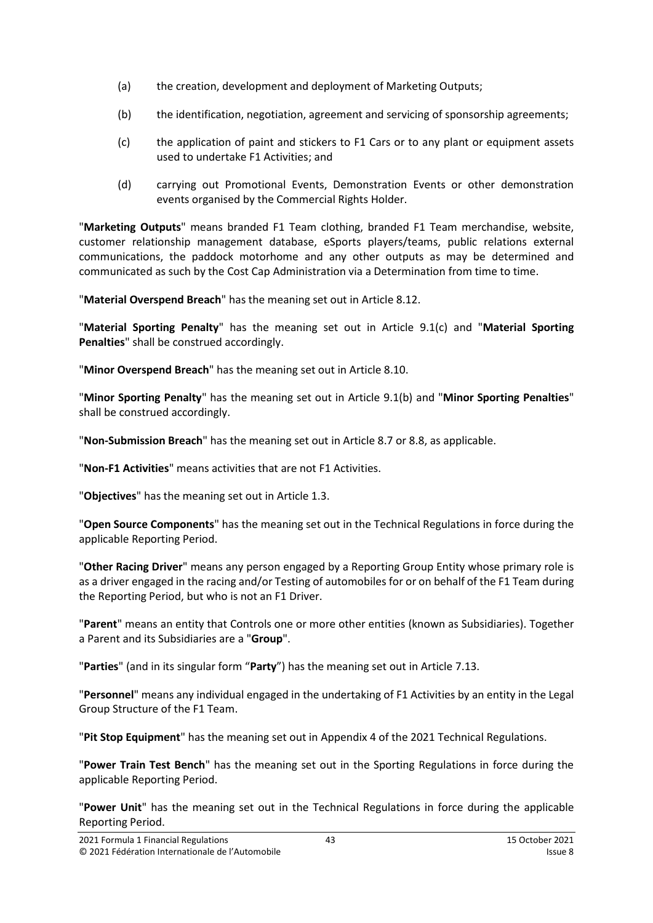- (a) the creation, development and deployment of Marketing Outputs;
- (b) the identification, negotiation, agreement and servicing of sponsorship agreements;
- (c) the application of paint and stickers to F1 Cars or to any plant or equipment assets used to undertake F1 Activities; and
- (d) carrying out Promotional Events, Demonstration Events or other demonstration events organised by the Commercial Rights Holder.

"**Marketing Outputs**" means branded F1 Team clothing, branded F1 Team merchandise, website, customer relationship management database, eSports players/teams, public relations external communications, the paddock motorhome and any other outputs as may be determined and communicated as such by the Cost Cap Administration via a Determination from time to time.

"**Material Overspend Breach**" has the meaning set out in Article [8.12.](#page-25-1)

"**Material Sporting Penalty**" has the meaning set out in Article [9.1\(c\)](#page-26-4) and "**Material Sporting Penalties**" shall be construed accordingly.

"**Minor Overspend Breach**" has the meaning set out in Article [8.10.](#page-24-2)

"**Minor Sporting Penalty**" has the meaning set out in Article [9.1\(b\)](#page-26-7) and "**Minor Sporting Penalties**" shall be construed accordingly.

"**Non-Submission Breach**" has the meaning set out in Article [8.7](#page-24-0) or [8.8,](#page-24-3) as applicable.

"**Non-F1 Activities**" means activities that are not F1 Activities.

"**Objectives**" has the meaning set out in Article [1.3.](#page-1-2)

"**Open Source Components**" has the meaning set out in the Technical Regulations in force during the applicable Reporting Period.

"**Other Racing Driver**" means any person engaged by a Reporting Group Entity whose primary role is as a driver engaged in the racing and/or Testing of automobiles for or on behalf of the F1 Team during the Reporting Period, but who is not an F1 Driver.

"**Parent**" means an entity that Controls one or more other entities (known as Subsidiaries). Together a Parent and its Subsidiaries are a "**Group**".

"**Parties**" (and in its singular form "**Party**") has the meaning set out in Article [7.13.](#page-20-1)

"**Personnel**" means any individual engaged in the undertaking of F1 Activities by an entity in the Legal Group Structure of the F1 Team.

"**Pit Stop Equipment**" has the meaning set out in Appendix 4 of the 2021 Technical Regulations.

"**Power Train Test Bench**" has the meaning set out in the Sporting Regulations in force during the applicable Reporting Period.

"**Power Unit**" has the meaning set out in the Technical Regulations in force during the applicable Reporting Period.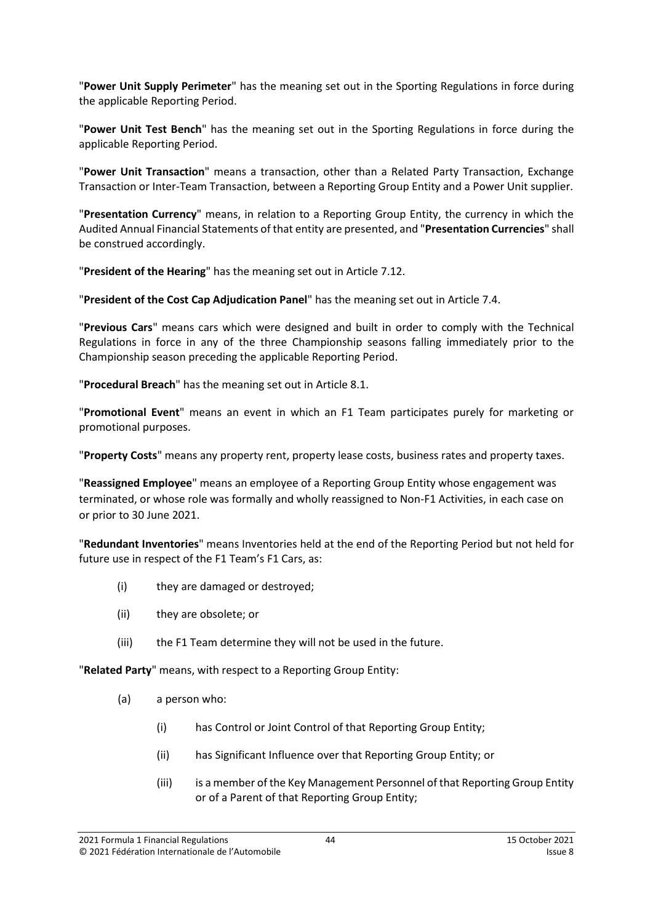"**Power Unit Supply Perimeter**" has the meaning set out in the Sporting Regulations in force during the applicable Reporting Period.

"**Power Unit Test Bench**" has the meaning set out in the Sporting Regulations in force during the applicable Reporting Period.

"**Power Unit Transaction**" means a transaction, other than a Related Party Transaction, Exchange Transaction or Inter-Team Transaction, between a Reporting Group Entity and a Power Unit supplier.

"**Presentation Currency**" means, in relation to a Reporting Group Entity, the currency in which the Audited Annual Financial Statements of that entity are presented, and "**Presentation Currencies**" shall be construed accordingly.

"**President of the Hearing**" has the meaning set out in Article [7.12.](#page-20-2)

"**President of the Cost Cap Adjudication Panel**" has the meaning set out in Article [7.4.](#page-19-2)

"**Previous Cars**" means cars which were designed and built in order to comply with the Technical Regulations in force in any of the three Championship seasons falling immediately prior to the Championship season preceding the applicable Reporting Period.

"**Procedural Breach**" has the meaning set out in Article [8.1.](#page-23-2)

"**Promotional Event**" means an event in which an F1 Team participates purely for marketing or promotional purposes.

"**Property Costs**" means any property rent, property lease costs, business rates and property taxes.

"**Reassigned Employee**" means an employee of a Reporting Group Entity whose engagement was terminated, or whose role was formally and wholly reassigned to Non-F1 Activities, in each case on or prior to 30 June 2021.

"**Redundant Inventories**" means Inventories held at the end of the Reporting Period but not held for future use in respect of the F1 Team's F1 Cars, as:

- (i) they are damaged or destroyed;
- (ii) they are obsolete; or
- (iii) the F1 Team determine they will not be used in the future.

"**Related Party**" means, with respect to a Reporting Group Entity:

- (a) a person who:
	- (i) has Control or Joint Control of that Reporting Group Entity;
	- (ii) has Significant Influence over that Reporting Group Entity; or
	- (iii) is a member of the Key Management Personnel of that Reporting Group Entity or of a Parent of that Reporting Group Entity;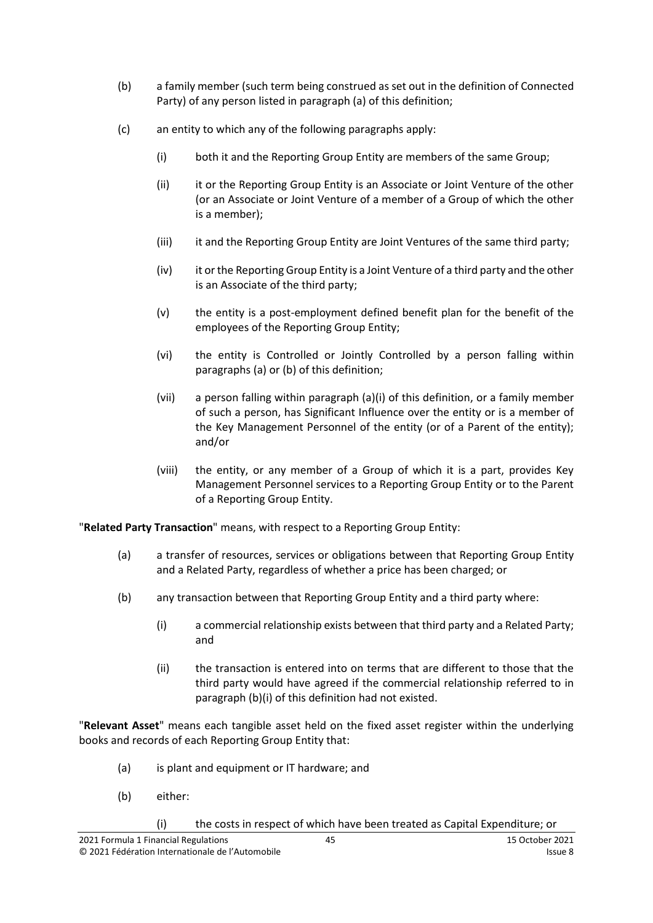- (b) a family member (such term being construed as set out in the definition of Connected Party) of any person listed in paragraph (a) of this definition;
- (c) an entity to which any of the following paragraphs apply:
	- (i) both it and the Reporting Group Entity are members of the same Group;
	- (ii) it or the Reporting Group Entity is an Associate or Joint Venture of the other (or an Associate or Joint Venture of a member of a Group of which the other is a member);
	- (iii) it and the Reporting Group Entity are Joint Ventures of the same third party;
	- (iv) it or the Reporting Group Entity is a Joint Venture of a third party and the other is an Associate of the third party;
	- (v) the entity is a post-employment defined benefit plan for the benefit of the employees of the Reporting Group Entity;
	- (vi) the entity is Controlled or Jointly Controlled by a person falling within paragraphs (a) or (b) of this definition;
	- (vii) a person falling within paragraph (a)(i) of this definition, or a family member of such a person, has Significant Influence over the entity or is a member of the Key Management Personnel of the entity (or of a Parent of the entity); and/or
	- (viii) the entity, or any member of a Group of which it is a part, provides Key Management Personnel services to a Reporting Group Entity or to the Parent of a Reporting Group Entity.

"**Related Party Transaction**" means, with respect to a Reporting Group Entity:

- (a) a transfer of resources, services or obligations between that Reporting Group Entity and a Related Party, regardless of whether a price has been charged; or
- (b) any transaction between that Reporting Group Entity and a third party where:
	- (i) a commercial relationship exists between that third party and a Related Party; and
	- (ii) the transaction is entered into on terms that are different to those that the third party would have agreed if the commercial relationship referred to in paragraph (b)(i) of this definition had not existed.

"**Relevant Asset**" means each tangible asset held on the fixed asset register within the underlying books and records of each Reporting Group Entity that:

- (a) is plant and equipment or IT hardware; and
- (b) either:
	- (i) the costs in respect of which have been treated as Capital Expenditure; or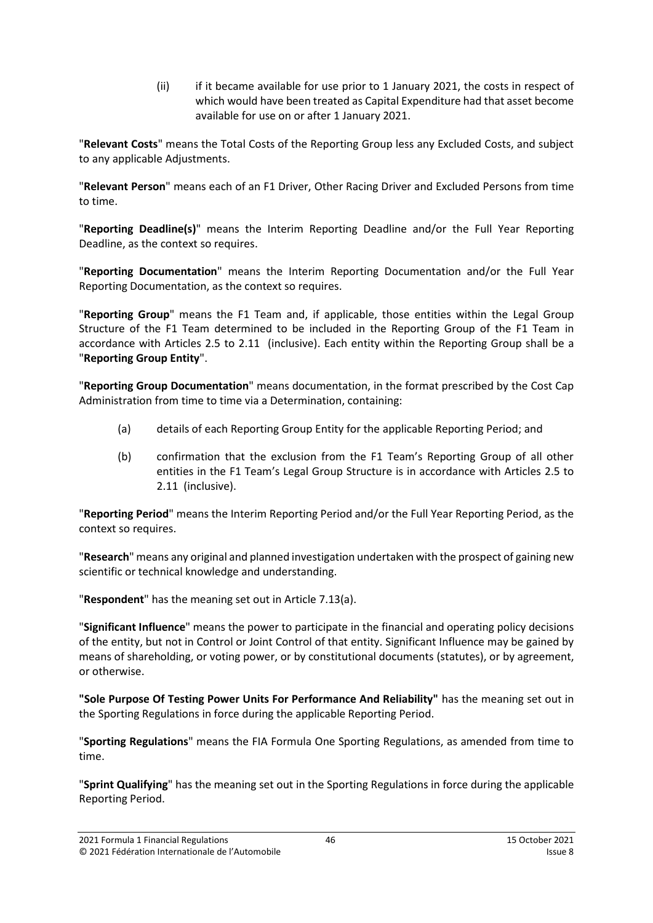(ii) if it became available for use prior to 1 January 2021, the costs in respect of which would have been treated as Capital Expenditure had that asset become available for use on or after 1 January 2021.

"**Relevant Costs**" means the Total Costs of the Reporting Group less any Excluded Costs, and subject to any applicable Adjustments.

"**Relevant Person**" means each of an F1 Driver, Other Racing Driver and Excluded Persons from time to time.

"**Reporting Deadline(s)**" means the Interim Reporting Deadline and/or the Full Year Reporting Deadline, as the context so requires.

"**Reporting Documentation**" means the Interim Reporting Documentation and/or the Full Year Reporting Documentation, as the context so requires.

"**Reporting Group**" means the F1 Team and, if applicable, those entities within the Legal Group Structure of the F1 Team determined to be included in the Reporting Group of the F1 Team in accordance with Articles [2.5](#page-4-1) to [2.11](#page-5-5) (inclusive). Each entity within the Reporting Group shall be a "**Reporting Group Entity**".

"**Reporting Group Documentation**" means documentation, in the format prescribed by the Cost Cap Administration from time to time via a Determination, containing:

- (a) details of each Reporting Group Entity for the applicable Reporting Period; and
- (b) confirmation that the exclusion from the F1 Team's Reporting Group of all other entities in the F1 Team's Legal Group Structure is in accordance with Articles [2.5](#page-4-1) to [2.11](#page-5-5) (inclusive).

"**Reporting Period**" means the Interim Reporting Period and/or the Full Year Reporting Period, as the context so requires.

"**Research**" means any original and planned investigation undertaken with the prospect of gaining new scientific or technical knowledge and understanding.

"**Respondent**" has the meaning set out in Article [7.13\(a\).](#page-20-3)

"**Significant Influence**" means the power to participate in the financial and operating policy decisions of the entity, but not in Control or Joint Control of that entity. Significant Influence may be gained by means of shareholding, or voting power, or by constitutional documents (statutes), or by agreement, or otherwise.

**"Sole Purpose Of Testing Power Units For Performance And Reliability"** has the meaning set out in the Sporting Regulations in force during the applicable Reporting Period.

"**Sporting Regulations**" means the FIA Formula One Sporting Regulations, as amended from time to time.

"**Sprint Qualifying**" has the meaning set out in the Sporting Regulations in force during the applicable Reporting Period.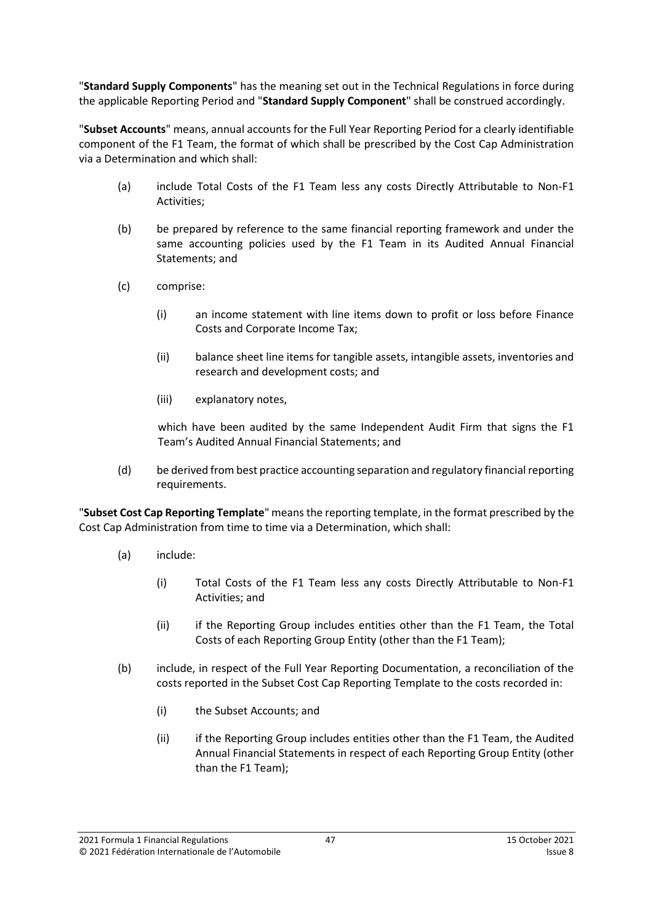"**Standard Supply Components**" has the meaning set out in the Technical Regulations in force during the applicable Reporting Period and "**Standard Supply Component**" shall be construed accordingly.

"**Subset Accounts**" means, annual accounts for the Full Year Reporting Period for a clearly identifiable component of the F1 Team, the format of which shall be prescribed by the Cost Cap Administration via a Determination and which shall:

- (a) include Total Costs of the F1 Team less any costs Directly Attributable to Non-F1 Activities;
- (b) be prepared by reference to the same financial reporting framework and under the same accounting policies used by the F1 Team in its Audited Annual Financial Statements; and
- (c) comprise:
	- (i) an income statement with line items down to profit or loss before Finance Costs and Corporate Income Tax;
	- (ii) balance sheet line items for tangible assets, intangible assets, inventories and research and development costs; and
	- (iii) explanatory notes,

which have been audited by the same Independent Audit Firm that signs the F1 Team's Audited Annual Financial Statements; and

(d) be derived from best practice accounting separation and regulatory financial reporting requirements.

"**Subset Cost Cap Reporting Template**" means the reporting template, in the format prescribed by the Cost Cap Administration from time to time via a Determination, which shall:

- (a) include:
	- (i) Total Costs of the F1 Team less any costs Directly Attributable to Non-F1 Activities; and
	- (ii) if the Reporting Group includes entities other than the F1 Team, the Total Costs of each Reporting Group Entity (other than the F1 Team);
- (b) include, in respect of the Full Year Reporting Documentation, a reconciliation of the costs reported in the Subset Cost Cap Reporting Template to the costs recorded in:
	- (i) the Subset Accounts; and
	- (ii) if the Reporting Group includes entities other than the F1 Team, the Audited Annual Financial Statements in respect of each Reporting Group Entity (other than the F1 Team);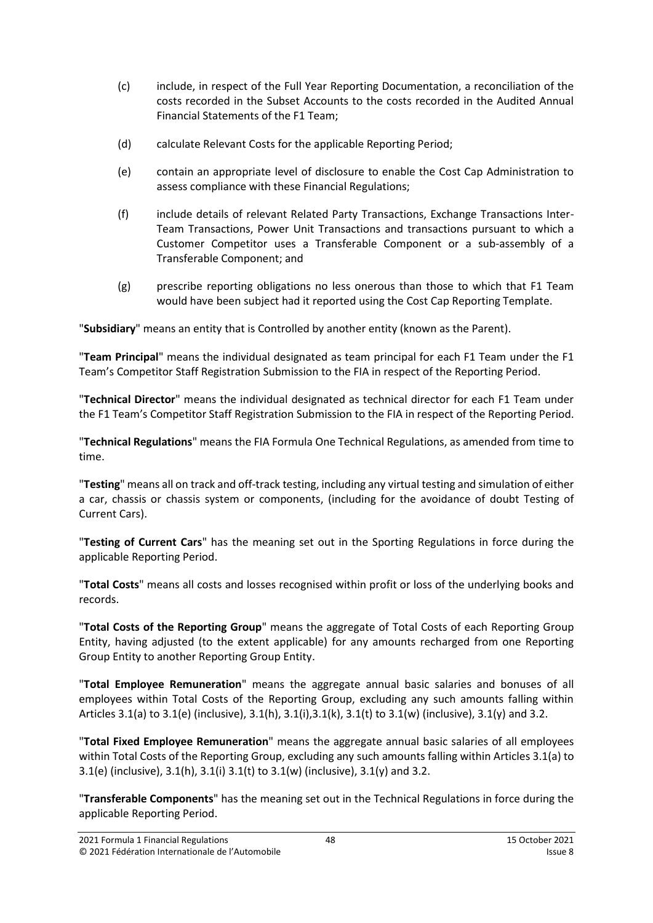- (c) include, in respect of the Full Year Reporting Documentation, a reconciliation of the costs recorded in the Subset Accounts to the costs recorded in the Audited Annual Financial Statements of the F1 Team;
- (d) calculate Relevant Costs for the applicable Reporting Period;
- (e) contain an appropriate level of disclosure to enable the Cost Cap Administration to assess compliance with these Financial Regulations;
- (f) include details of relevant Related Party Transactions, Exchange Transactions Inter-Team Transactions, Power Unit Transactions and transactions pursuant to which a Customer Competitor uses a Transferable Component or a sub-assembly of a Transferable Component; and
- (g) prescribe reporting obligations no less onerous than those to which that F1 Team would have been subject had it reported using the Cost Cap Reporting Template.

"**Subsidiary**" means an entity that is Controlled by another entity (known as the Parent).

"**Team Principal**" means the individual designated as team principal for each F1 Team under the F1 Team's Competitor Staff Registration Submission to the FIA in respect of the Reporting Period.

"**Technical Director**" means the individual designated as technical director for each F1 Team under the F1 Team's Competitor Staff Registration Submission to the FIA in respect of the Reporting Period.

"**Technical Regulations**" means the FIA Formula One Technical Regulations, as amended from time to time.

"**Testing**" means all on track and off-track testing, including any virtual testing and simulation of either a car, chassis or chassis system or components, (including for the avoidance of doubt Testing of Current Cars).

"**Testing of Current Cars**" has the meaning set out in the Sporting Regulations in force during the applicable Reporting Period.

"**Total Costs**" means all costs and losses recognised within profit or loss of the underlying books and records.

"**Total Costs of the Reporting Group**" means the aggregate of Total Costs of each Reporting Group Entity, having adjusted (to the extent applicable) for any amounts recharged from one Reporting Group Entity to another Reporting Group Entity.

"**Total Employee Remuneration**" means the aggregate annual basic salaries and bonuses of all employees within Total Costs of the Reporting Group, excluding any such amounts falling within Articles [3.1\(a\)](#page-5-6) to [3.1\(e\)](#page-5-7) (inclusive),  $3.1(h)$ ,  $3.1(i)$ ,  $3.1(k)$ ,  $3.1(k)$  to  $3.1(w)$  (inclusive),  $3.1(y)$  and  $3.2$ .

"**Total Fixed Employee Remuneration**" means the aggregate annual basic salaries of all employees within Total Costs of the Reporting Group, excluding any such amounts falling within Article[s 3.1\(a\)](#page-5-6) to [3.1\(e\)](#page-5-7) (inclusive), [3.1\(h\),](#page-5-8) [3.1\(i\)](#page-6-0) [3.1\(t\)](#page-7-1) to [3.1\(w\)](#page-7-2) (inclusive), [3.1\(y\)](#page-7-3) an[d 3.2.](#page-8-2)

"**Transferable Components**" has the meaning set out in the Technical Regulations in force during the applicable Reporting Period.